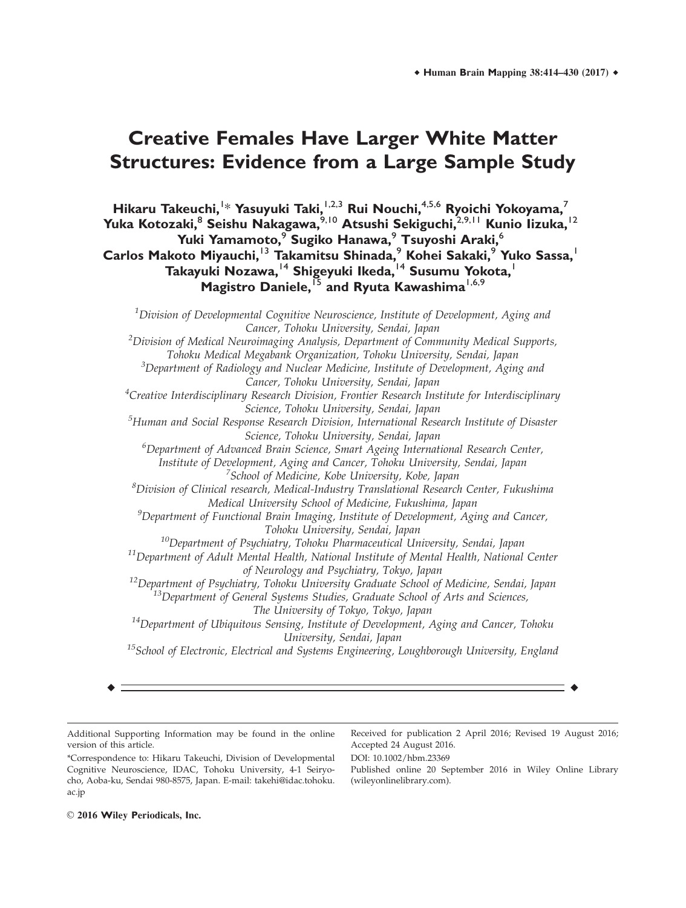# **Creative Females Have Larger White Matter Structures: Evidence from a Large Sample Study**

**Hikaru Takeuchi,**<sup>1</sup> \* **Yasuyuki Taki,**1,2,3 **Rui Nouchi,**4,5,6 **Ryoichi Yokoyama,**<sup>7</sup> **Yuka Kotozaki,**<sup>8</sup> **Seishu Nakagawa,**9,10 **Atsushi Sekiguchi,**2,9,11 **Kunio Iizuka,**<sup>12</sup> **Yuki Yamamoto,**<sup>9</sup> **Sugiko Hanawa,**<sup>9</sup> **Tsuyoshi Araki,**<sup>6</sup> **Carlos Makoto Miyauchi,**<sup>13</sup> **Takamitsu Shinada,**<sup>9</sup> **Kohei Sakaki,**<sup>9</sup> **Yuko Sassa,**<sup>1</sup> **Takayuki Nozawa,**<sup>14</sup> **Shigeyuki Ikeda,**<sup>14</sup> **Susumu Yokota,**<sup>1</sup> **Magistro Daniele,**<sup>15</sup> **and Ryuta Kawashima**1,6,9

 $^{\rm 1}$ Division of Developmental Cognitive Neuroscience, Institute of Development, Aging and Cancer, Tohoku University, Sendai, Japan  $^{2}$ Division of Medical Neuroimaging Analysis, Department of Community Medical Supports, Tohoku Medical Megabank Organization, Tohoku University, Sendai, Japan <sup>3</sup>Department of Radiology and Nuclear Medicine, Institute of Development, Aging and Cancer, Tohoku University, Sendai, Japan <sup>4</sup>Creative Interdisciplinary Research Division, Frontier Research Institute for Interdisciplinary Science, Tohoku University, Sendai, Japan <sup>5</sup>Human and Social Response Research Division, International Research Institute of Disaster Science, Tohoku University, Sendai, Japan <sup>6</sup>Department of Advanced Brain Science, Smart Ageing International Research Center, Institute of Development, Aging and Cancer, Tohoku University, Sendai, Japan <sup>7</sup>School of Medicine, Kobe University, Kobe, Japan  ${}^{8}$ Division of Clinical research, Medical-Industry Translational Research Center, Fukushima Medical University School of Medicine, Fukushima, Japan  $^9$ Department of Functional Brain Imaging, Institute of Development, Aging and Cancer, Tohoku University, Sendai, Japan  $10$ Department of Psychiatry, Tohoku Pharmaceutical University, Sendai, Japan  $11$ Department of Adult Mental Health, National Institute of Mental Health, National Center of Neurology and Psychiatry, Tokyo, Japan <sup>12</sup>Department of Psychiatry, Tohoku University Graduate School of Medicine, Sendai, Japan <sup>13</sup>Department of General Systems Studies, Graduate School of Arts and Sciences, The University of Tokyo, Tokyo, Japan  $14$ Department of Ubiquitous Sensing, Institute of Development, Aging and Cancer, Tohoku University, Sendai, Japan  $15$ School of Electronic, Electrical and Systems Engineering, Loughborough University, England

r r

DOI: 10.1002/hbm.23369

Additional Supporting Information may be found in the online version of this article.

Received for publication 2 April 2016; Revised 19 August 2016; Accepted 24 August 2016.

\*Correspondence to: Hikaru Takeuchi, Division of Developmental Cognitive Neuroscience, IDAC, Tohoku University, 4-1 Seiryocho, Aoba-ku, Sendai 980-8575, Japan. E-mail: takehi@idac.tohoku. ac.jp

Published online 20 September 2016 in Wiley Online Library (wileyonlinelibrary.com).

 $\odot$  2016 Wiley Periodicals, Inc.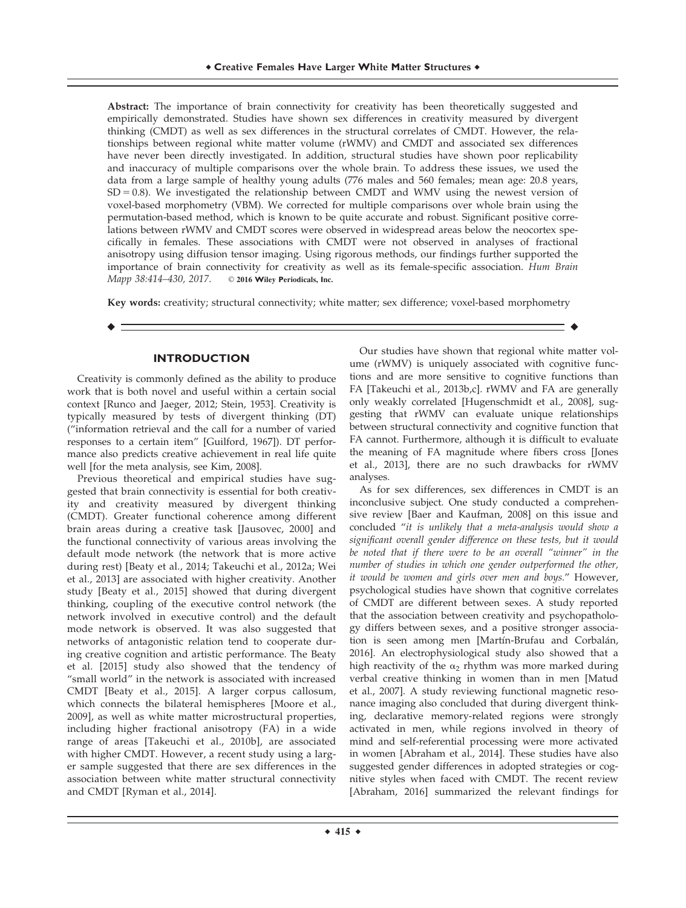Abstract: The importance of brain connectivity for creativity has been theoretically suggested and empirically demonstrated. Studies have shown sex differences in creativity measured by divergent thinking (CMDT) as well as sex differences in the structural correlates of CMDT. However, the relationships between regional white matter volume (rWMV) and CMDT and associated sex differences have never been directly investigated. In addition, structural studies have shown poor replicability and inaccuracy of multiple comparisons over the whole brain. To address these issues, we used the data from a large sample of healthy young adults (776 males and 560 females; mean age: 20.8 years,  $SD = 0.8$ ). We investigated the relationship between CMDT and WMV using the newest version of voxel-based morphometry (VBM). We corrected for multiple comparisons over whole brain using the permutation-based method, which is known to be quite accurate and robust. Significant positive correlations between rWMV and CMDT scores were observed in widespread areas below the neocortex specifically in females. These associations with CMDT were not observed in analyses of fractional anisotropy using diffusion tensor imaging. Using rigorous methods, our findings further supported the importance of brain connectivity for creativity as well as its female-specific association. Hum Brain Mapp 38:414-430, 2017. © 2016 Wiley Periodicals, Inc.

Key words: creativity; structural connectivity; white matter; sex difference; voxel-based morphometry

r r

## **INTRODUCTION**

Creativity is commonly defined as the ability to produce work that is both novel and useful within a certain social context [Runco and Jaeger, 2012; Stein, 1953]. Creativity is typically measured by tests of divergent thinking (DT) ("information retrieval and the call for a number of varied responses to a certain item" [Guilford, 1967]). DT performance also predicts creative achievement in real life quite well [for the meta analysis, see Kim, 2008].

Previous theoretical and empirical studies have suggested that brain connectivity is essential for both creativity and creativity measured by divergent thinking (CMDT). Greater functional coherence among different brain areas during a creative task [Jausovec, 2000] and the functional connectivity of various areas involving the default mode network (the network that is more active during rest) [Beaty et al., 2014; Takeuchi et al., 2012a; Wei et al., 2013] are associated with higher creativity. Another study [Beaty et al., 2015] showed that during divergent thinking, coupling of the executive control network (the network involved in executive control) and the default mode network is observed. It was also suggested that networks of antagonistic relation tend to cooperate during creative cognition and artistic performance. The Beaty et al. [2015] study also showed that the tendency of "small world" in the network is associated with increased CMDT [Beaty et al., 2015]. A larger corpus callosum, which connects the bilateral hemispheres [Moore et al., 2009], as well as white matter microstructural properties, including higher fractional anisotropy (FA) in a wide range of areas [Takeuchi et al., 2010b], are associated with higher CMDT. However, a recent study using a larger sample suggested that there are sex differences in the association between white matter structural connectivity and CMDT [Ryman et al., 2014].

Our studies have shown that regional white matter volume (rWMV) is uniquely associated with cognitive functions and are more sensitive to cognitive functions than FA [Takeuchi et al., 2013b,c]. rWMV and FA are generally only weakly correlated [Hugenschmidt et al., 2008], suggesting that rWMV can evaluate unique relationships between structural connectivity and cognitive function that FA cannot. Furthermore, although it is difficult to evaluate the meaning of FA magnitude where fibers cross [Jones et al., 2013], there are no such drawbacks for rWMV analyses.

As for sex differences, sex differences in CMDT is an inconclusive subject. One study conducted a comprehensive review [Baer and Kaufman, 2008] on this issue and concluded "it is unlikely that a meta-analysis would show a significant overall gender difference on these tests, but it would be noted that if there were to be an overall "winner" in the number of studies in which one gender outperformed the other, it would be women and girls over men and boys." However, psychological studies have shown that cognitive correlates of CMDT are different between sexes. A study reported that the association between creativity and psychopathology differs between sexes, and a positive stronger association is seen among men [Martín-Brufau and Corbalán, 2016]. An electrophysiological study also showed that a high reactivity of the  $\alpha_2$  rhythm was more marked during verbal creative thinking in women than in men [Matud et al., 2007]. A study reviewing functional magnetic resonance imaging also concluded that during divergent thinking, declarative memory-related regions were strongly activated in men, while regions involved in theory of mind and self-referential processing were more activated in women [Abraham et al., 2014]. These studies have also suggested gender differences in adopted strategies or cognitive styles when faced with CMDT. The recent review [Abraham, 2016] summarized the relevant findings for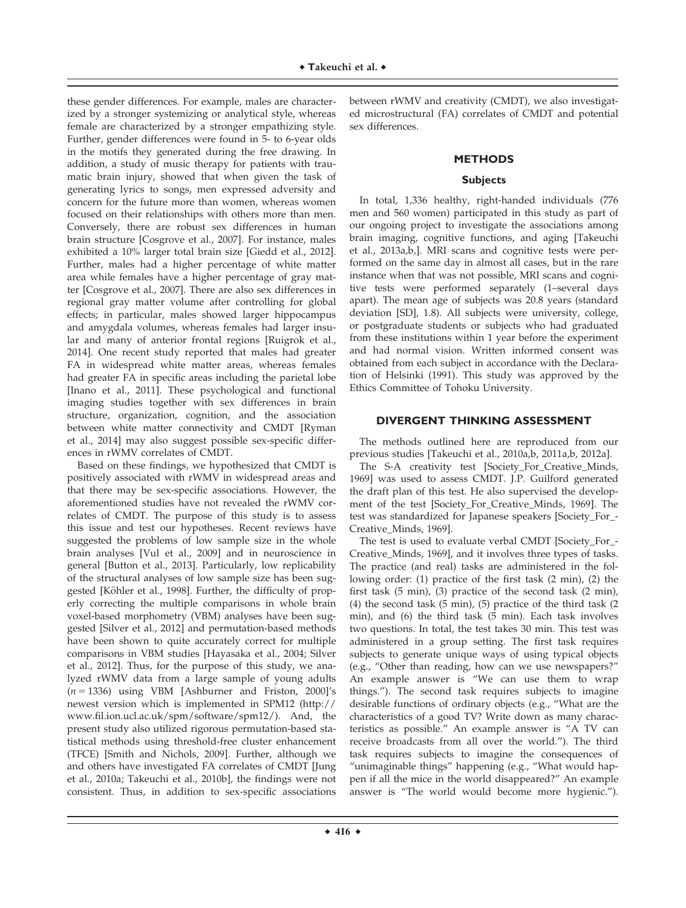these gender differences. For example, males are characterized by a stronger systemizing or analytical style, whereas female are characterized by a stronger empathizing style. Further, gender differences were found in 5- to 6-year olds in the motifs they generated during the free drawing. In addition, a study of music therapy for patients with traumatic brain injury, showed that when given the task of generating lyrics to songs, men expressed adversity and concern for the future more than women, whereas women focused on their relationships with others more than men. Conversely, there are robust sex differences in human brain structure [Cosgrove et al., 2007]. For instance, males exhibited a 10% larger total brain size [Giedd et al., 2012]. Further, males had a higher percentage of white matter area while females have a higher percentage of gray matter [Cosgrove et al., 2007]. There are also sex differences in regional gray matter volume after controlling for global effects; in particular, males showed larger hippocampus and amygdala volumes, whereas females had larger insular and many of anterior frontal regions [Ruigrok et al., 2014]. One recent study reported that males had greater FA in widespread white matter areas, whereas females had greater FA in specific areas including the parietal lobe [Inano et al., 2011]. These psychological and functional imaging studies together with sex differences in brain structure, organization, cognition, and the association between white matter connectivity and CMDT [Ryman et al., 2014] may also suggest possible sex-specific differences in rWMV correlates of CMDT.

Based on these findings, we hypothesized that CMDT is positively associated with rWMV in widespread areas and that there may be sex-specific associations. However, the aforementioned studies have not revealed the rWMV correlates of CMDT. The purpose of this study is to assess this issue and test our hypotheses. Recent reviews have suggested the problems of low sample size in the whole brain analyses [Vul et al., 2009] and in neuroscience in general [Button et al., 2013]. Particularly, low replicability of the structural analyses of low sample size has been suggested [Köhler et al., 1998]. Further, the difficulty of properly correcting the multiple comparisons in whole brain voxel-based morphometry (VBM) analyses have been suggested [Silver et al., 2012] and permutation-based methods have been shown to quite accurately correct for multiple comparisons in VBM studies [Hayasaka et al., 2004; Silver et al., 2012]. Thus, for the purpose of this study, we analyzed rWMV data from a large sample of young adults  $(n = 1336)$  using VBM [Ashburner and Friston, 2000]'s newest version which is implemented in SPM12 [\(http://](http://www.fil.ion.ucl.ac.uk/spm/software/spm12) [www.fil.ion.ucl.ac.uk/spm/software/spm12/](http://www.fil.ion.ucl.ac.uk/spm/software/spm12)). And, the present study also utilized rigorous permutation-based statistical methods using threshold-free cluster enhancement (TFCE) [Smith and Nichols, 2009]. Further, although we and others have investigated FA correlates of CMDT [Jung et al., 2010a; Takeuchi et al., 2010b], the findings were not consistent. Thus, in addition to sex-specific associations

between rWMV and creativity (CMDT), we also investigated microstructural (FA) correlates of CMDT and potential sex differences.

## **METHODS**

## **Subjects**

In total, 1,336 healthy, right-handed individuals (776 men and 560 women) participated in this study as part of our ongoing project to investigate the associations among brain imaging, cognitive functions, and aging [Takeuchi et al., 2013a,b,]. MRI scans and cognitive tests were performed on the same day in almost all cases, but in the rare instance when that was not possible, MRI scans and cognitive tests were performed separately (1–several days apart). The mean age of subjects was 20.8 years (standard deviation [SD], 1.8). All subjects were university, college, or postgraduate students or subjects who had graduated from these institutions within 1 year before the experiment and had normal vision. Written informed consent was obtained from each subject in accordance with the Declaration of Helsinki (1991). This study was approved by the Ethics Committee of Tohoku University.

# **DIVERGENT THINKING ASSESSMENT**

The methods outlined here are reproduced from our previous studies [Takeuchi et al., 2010a,b, 2011a,b, 2012a].

The S-A creativity test [Society\_For\_Creative\_Minds, 1969] was used to assess CMDT. J.P. Guilford generated the draft plan of this test. He also supervised the development of the test [Society\_For\_Creative\_Minds, 1969]. The test was standardized for Japanese speakers [Society\_For\_- Creative\_Minds, 1969].

The test is used to evaluate verbal CMDT [Society\_For\_- Creative\_Minds, 1969], and it involves three types of tasks. The practice (and real) tasks are administered in the following order: (1) practice of the first task (2 min), (2) the first task (5 min), (3) practice of the second task (2 min), (4) the second task (5 min), (5) practice of the third task (2 min), and (6) the third task (5 min). Each task involves two questions. In total, the test takes 30 min. This test was administered in a group setting. The first task requires subjects to generate unique ways of using typical objects (e.g., "Other than reading, how can we use newspapers?" An example answer is "We can use them to wrap things."). The second task requires subjects to imagine desirable functions of ordinary objects (e.g., "What are the characteristics of a good TV? Write down as many characteristics as possible." An example answer is "A TV can receive broadcasts from all over the world."). The third task requires subjects to imagine the consequences of "unimaginable things" happening (e.g., "What would happen if all the mice in the world disappeared?" An example answer is "The world would become more hygienic.").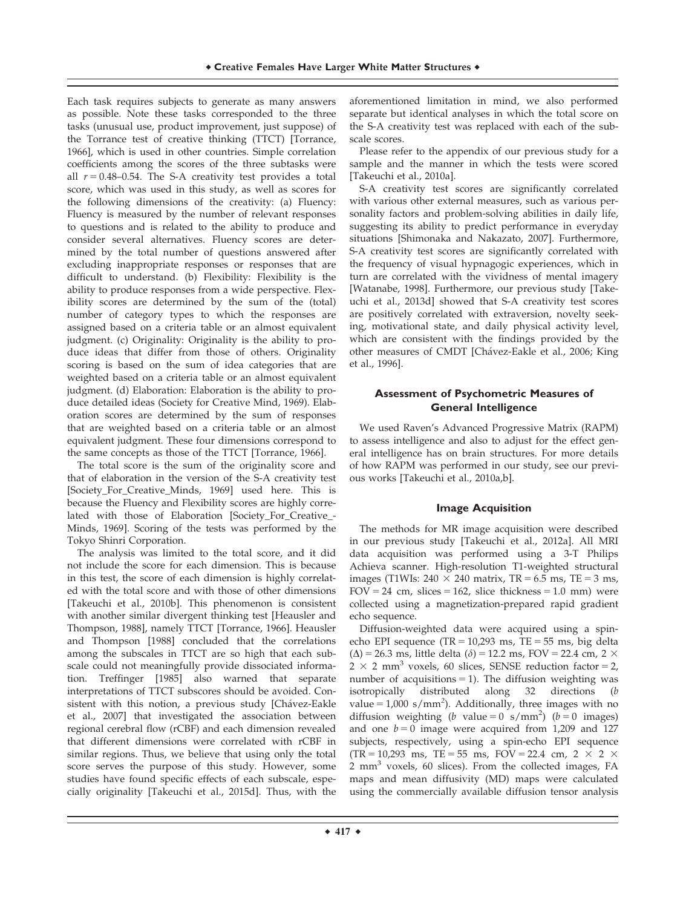Each task requires subjects to generate as many answers as possible. Note these tasks corresponded to the three tasks (unusual use, product improvement, just suppose) of the Torrance test of creative thinking (TTCT) [Torrance, 1966], which is used in other countries. Simple correlation coefficients among the scores of the three subtasks were all  $r = 0.48 - 0.54$ . The S-A creativity test provides a total score, which was used in this study, as well as scores for the following dimensions of the creativity: (a) Fluency: Fluency is measured by the number of relevant responses to questions and is related to the ability to produce and consider several alternatives. Fluency scores are determined by the total number of questions answered after excluding inappropriate responses or responses that are difficult to understand. (b) Flexibility: Flexibility is the ability to produce responses from a wide perspective. Flexibility scores are determined by the sum of the (total) number of category types to which the responses are assigned based on a criteria table or an almost equivalent judgment. (c) Originality: Originality is the ability to produce ideas that differ from those of others. Originality scoring is based on the sum of idea categories that are weighted based on a criteria table or an almost equivalent judgment. (d) Elaboration: Elaboration is the ability to produce detailed ideas (Society for Creative Mind, 1969). Elaboration scores are determined by the sum of responses that are weighted based on a criteria table or an almost equivalent judgment. These four dimensions correspond to the same concepts as those of the TTCT [Torrance, 1966].

The total score is the sum of the originality score and that of elaboration in the version of the S-A creativity test [Society\_For\_Creative\_Minds, 1969] used here. This is because the Fluency and Flexibility scores are highly correlated with those of Elaboration [Society\_For\_Creative\_- Minds, 1969]. Scoring of the tests was performed by the Tokyo Shinri Corporation.

The analysis was limited to the total score, and it did not include the score for each dimension. This is because in this test, the score of each dimension is highly correlated with the total score and with those of other dimensions [Takeuchi et al., 2010b]. This phenomenon is consistent with another similar divergent thinking test [Heausler and Thompson, 1988], namely TTCT [Torrance, 1966]. Heausler and Thompson [1988] concluded that the correlations among the subscales in TTCT are so high that each subscale could not meaningfully provide dissociated information. Treffinger [1985] also warned that separate interpretations of TTCT subscores should be avoided. Consistent with this notion, a previous study [Chávez-Eakle et al., 2007] that investigated the association between regional cerebral flow (rCBF) and each dimension revealed that different dimensions were correlated with rCBF in similar regions. Thus, we believe that using only the total score serves the purpose of this study. However, some studies have found specific effects of each subscale, especially originality [Takeuchi et al., 2015d]. Thus, with the

aforementioned limitation in mind, we also performed separate but identical analyses in which the total score on the S-A creativity test was replaced with each of the subscale scores.

Please refer to the appendix of our previous study for a sample and the manner in which the tests were scored [Takeuchi et al., 2010a].

S-A creativity test scores are significantly correlated with various other external measures, such as various personality factors and problem-solving abilities in daily life, suggesting its ability to predict performance in everyday situations [Shimonaka and Nakazato, 2007]. Furthermore, S-A creativity test scores are significantly correlated with the frequency of visual hypnagogic experiences, which in turn are correlated with the vividness of mental imagery [Watanabe, 1998]. Furthermore, our previous study [Takeuchi et al., 2013d] showed that S-A creativity test scores are positively correlated with extraversion, novelty seeking, motivational state, and daily physical activity level, which are consistent with the findings provided by the other measures of CMDT [Chávez-Eakle et al., 2006; King et al., 1996].

# **Assessment of Psychometric Measures of General Intelligence**

We used Raven's Advanced Progressive Matrix (RAPM) to assess intelligence and also to adjust for the effect general intelligence has on brain structures. For more details of how RAPM was performed in our study, see our previous works [Takeuchi et al., 2010a,b].

# **Image Acquisition**

The methods for MR image acquisition were described in our previous study [Takeuchi et al., 2012a]. All MRI data acquisition was performed using a 3-T Philips Achieva scanner. High-resolution T1-weighted structural images (T1WIs:  $240 \times 240$  matrix, TR = 6.5 ms, TE = 3 ms,  $FOV = 24$  cm, slices = 162, slice thickness = 1.0 mm) were collected using a magnetization-prepared rapid gradient echo sequence.

Diffusion-weighted data were acquired using a spinecho EPI sequence (TR =  $10,293$  ms, TE =  $55$  ms, big delta  $(\Delta)$  = 26.3 ms, little delta ( $\delta$ ) = 12.2 ms, FOV = 22.4 cm, 2  $\times$  $2 \times 2$  mm<sup>3</sup> voxels, 60 slices, SENSE reduction factor = 2, number of acquisitions  $= 1$ ). The diffusion weighting was isotropically distributed along 32 directions (b value =  $1,000$  s/mm<sup>2</sup>). Additionally, three images with no diffusion weighting (*b* value =  $0 \text{ s/mm}^2$ ) (*b* = 0 images) and one  $b = 0$  image were acquired from 1,209 and 127 subjects, respectively, using a spin-echo EPI sequence  $(TR = 10,293$  ms,  $TE = 55$  ms,  $FOV = 22.4$  cm,  $2 \times 2 \times 2$  $2 \text{ mm}^3$  voxels, 60 slices). From the collected images, FA maps and mean diffusivity (MD) maps were calculated using the commercially available diffusion tensor analysis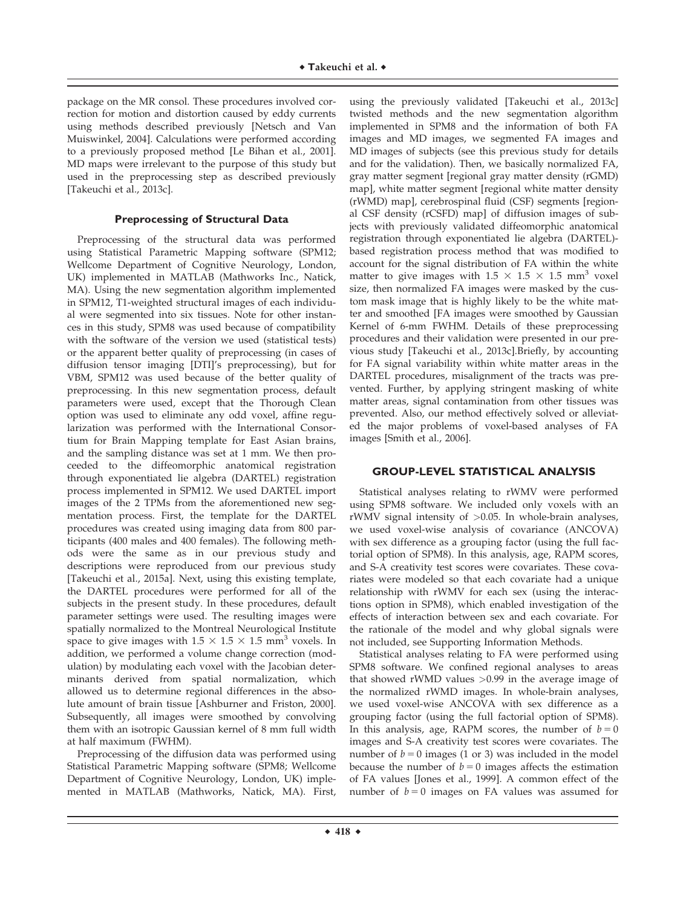package on the MR consol. These procedures involved correction for motion and distortion caused by eddy currents using methods described previously [Netsch and Van Muiswinkel, 2004]. Calculations were performed according to a previously proposed method [Le Bihan et al., 2001]. MD maps were irrelevant to the purpose of this study but used in the preprocessing step as described previously [Takeuchi et al., 2013c].

## **Preprocessing of Structural Data**

Preprocessing of the structural data was performed using Statistical Parametric Mapping software (SPM12; Wellcome Department of Cognitive Neurology, London, UK) implemented in MATLAB (Mathworks Inc., Natick, MA). Using the new segmentation algorithm implemented in SPM12, T1-weighted structural images of each individual were segmented into six tissues. Note for other instances in this study, SPM8 was used because of compatibility with the software of the version we used (statistical tests) or the apparent better quality of preprocessing (in cases of diffusion tensor imaging [DTI]'s preprocessing), but for VBM, SPM12 was used because of the better quality of preprocessing. In this new segmentation process, default parameters were used, except that the Thorough Clean option was used to eliminate any odd voxel, affine regularization was performed with the International Consortium for Brain Mapping template for East Asian brains, and the sampling distance was set at 1 mm. We then proceeded to the diffeomorphic anatomical registration through exponentiated lie algebra (DARTEL) registration process implemented in SPM12. We used DARTEL import images of the 2 TPMs from the aforementioned new segmentation process. First, the template for the DARTEL procedures was created using imaging data from 800 participants (400 males and 400 females). The following methods were the same as in our previous study and descriptions were reproduced from our previous study [Takeuchi et al., 2015a]. Next, using this existing template, the DARTEL procedures were performed for all of the subjects in the present study. In these procedures, default parameter settings were used. The resulting images were spatially normalized to the Montreal Neurological Institute space to give images with  $1.5 \times 1.5 \times 1.5$  mm<sup>3</sup> voxels. In addition, we performed a volume change correction (modulation) by modulating each voxel with the Jacobian determinants derived from spatial normalization, which allowed us to determine regional differences in the absolute amount of brain tissue [Ashburner and Friston, 2000]. Subsequently, all images were smoothed by convolving them with an isotropic Gaussian kernel of 8 mm full width at half maximum (FWHM).

Preprocessing of the diffusion data was performed using Statistical Parametric Mapping software (SPM8; Wellcome Department of Cognitive Neurology, London, UK) implemented in MATLAB (Mathworks, Natick, MA). First,

using the previously validated [Takeuchi et al., 2013c] twisted methods and the new segmentation algorithm implemented in SPM8 and the information of both FA images and MD images, we segmented FA images and MD images of subjects (see this previous study for details and for the validation). Then, we basically normalized FA, gray matter segment [regional gray matter density (rGMD) map], white matter segment [regional white matter density (rWMD) map], cerebrospinal fluid (CSF) segments [regional CSF density (rCSFD) map] of diffusion images of subjects with previously validated diffeomorphic anatomical registration through exponentiated lie algebra (DARTEL) based registration process method that was modified to account for the signal distribution of FA within the white matter to give images with  $1.5 \times 1.5 \times 1.5$  mm<sup>3</sup> voxel size, then normalized FA images were masked by the custom mask image that is highly likely to be the white matter and smoothed [FA images were smoothed by Gaussian Kernel of 6-mm FWHM. Details of these preprocessing procedures and their validation were presented in our previous study [Takeuchi et al., 2013c].Briefly, by accounting for FA signal variability within white matter areas in the DARTEL procedures, misalignment of the tracts was prevented. Further, by applying stringent masking of white matter areas, signal contamination from other tissues was prevented. Also, our method effectively solved or alleviated the major problems of voxel-based analyses of FA images [Smith et al., 2006].

#### **GROUP-LEVEL STATISTICAL ANALYSIS**

Statistical analyses relating to rWMV were performed using SPM8 software. We included only voxels with an rWMV signal intensity of >0.05. In whole-brain analyses, we used voxel-wise analysis of covariance (ANCOVA) with sex difference as a grouping factor (using the full factorial option of SPM8). In this analysis, age, RAPM scores, and S-A creativity test scores were covariates. These covariates were modeled so that each covariate had a unique relationship with rWMV for each sex (using the interactions option in SPM8), which enabled investigation of the effects of interaction between sex and each covariate. For the rationale of the model and why global signals were not included, see Supporting Information Methods.

Statistical analyses relating to FA were performed using SPM8 software. We confined regional analyses to areas that showed rWMD values >0.99 in the average image of the normalized rWMD images. In whole-brain analyses, we used voxel-wise ANCOVA with sex difference as a grouping factor (using the full factorial option of SPM8). In this analysis, age, RAPM scores, the number of  $b = 0$ images and S-A creativity test scores were covariates. The number of  $b = 0$  images (1 or 3) was included in the model because the number of  $b = 0$  images affects the estimation of FA values [Jones et al., 1999]. A common effect of the number of  $b = 0$  images on FA values was assumed for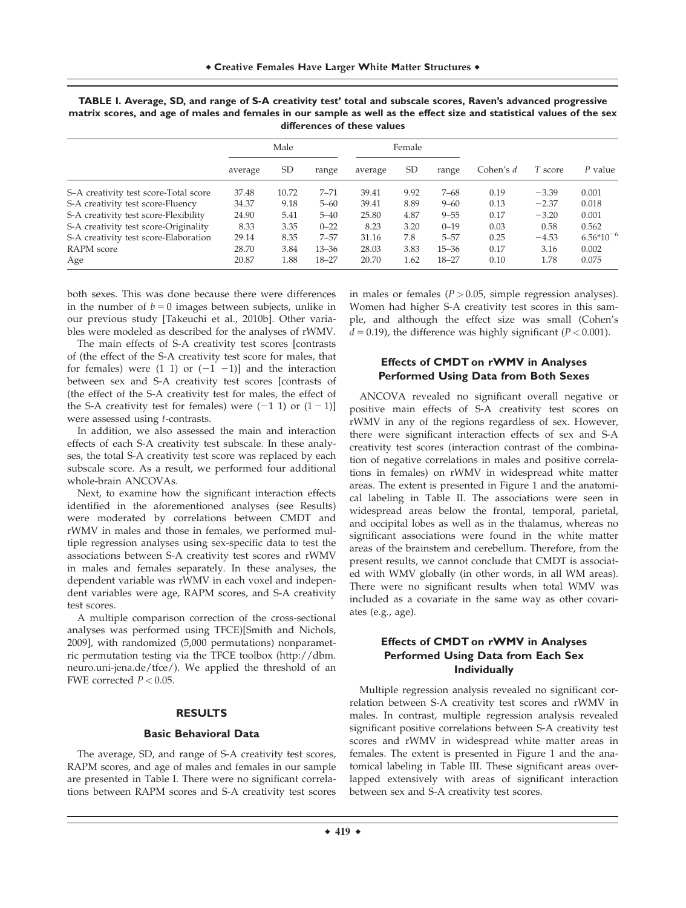|                                       | Male    |           |           | Female  |           |           |           |         |                |
|---------------------------------------|---------|-----------|-----------|---------|-----------|-----------|-----------|---------|----------------|
|                                       | average | <b>SD</b> | range     | average | <b>SD</b> | range     | Cohen's d | T score | P value        |
| S-A creativity test score-Total score | 37.48   | 10.72     | $7 - 71$  | 39.41   | 9.92      | $7 - 68$  | 0.19      | $-3.39$ | 0.001          |
| S-A creativity test score-Fluency     | 34.37   | 9.18      | $5 - 60$  | 39.41   | 8.89      | $9 - 60$  | 0.13      | $-2.37$ | 0.018          |
| S-A creativity test score-Flexibility | 24.90   | 5.41      | $5 - 40$  | 25.80   | 4.87      | $9 - 55$  | 0.17      | $-3.20$ | 0.001          |
| S-A creativity test score-Originality | 8.33    | 3.35      | $0 - 22$  | 8.23    | 3.20      | $0 - 19$  | 0.03      | 0.58    | 0.562          |
| S-A creativity test score-Elaboration | 29.14   | 8.35      | $7 - 57$  | 31.16   | 7.8       | $5 - 57$  | 0.25      | $-4.53$ | $6.56*10^{-6}$ |
| RAPM score                            | 28.70   | 3.84      | $13 - 36$ | 28.03   | 3.83      | $15 - 36$ | 0.17      | 3.16    | 0.002          |
| Age                                   | 20.87   | 1.88      | $18 - 27$ | 20.70   | 1.62      | $18 - 27$ | 0.10      | 1.78    | 0.075          |

| TABLE I. Average, SD, and range of S-A creativity test' total and subscale scores, Raven's advanced progressive        |
|------------------------------------------------------------------------------------------------------------------------|
| matrix scores, and age of males and females in our sample as well as the effect size and statistical values of the sex |
| differences of these values                                                                                            |

both sexes. This was done because there were differences in the number of  $b = 0$  images between subjects, unlike in our previous study [Takeuchi et al., 2010b]. Other variables were modeled as described for the analyses of rWMV.

The main effects of S-A creativity test scores [contrasts of (the effect of the S-A creativity test score for males, that for females) were  $(1 \ 1)$  or  $(-1 \ -1)$ ] and the interaction between sex and S-A creativity test scores [contrasts of (the effect of the S-A creativity test for males, the effect of the S-A creativity test for females) were  $(-1 1)$  or  $(1 - 1)$ ] were assessed using t-contrasts.

In addition, we also assessed the main and interaction effects of each S-A creativity test subscale. In these analyses, the total S-A creativity test score was replaced by each subscale score. As a result, we performed four additional whole-brain ANCOVAs.

Next, to examine how the significant interaction effects identified in the aforementioned analyses (see Results) were moderated by correlations between CMDT and rWMV in males and those in females, we performed multiple regression analyses using sex-specific data to test the associations between S-A creativity test scores and rWMV in males and females separately. In these analyses, the dependent variable was rWMV in each voxel and independent variables were age, RAPM scores, and S-A creativity test scores.

A multiple comparison correction of the cross-sectional analyses was performed using TFCE)[Smith and Nichols, 2009], with randomized (5,000 permutations) nonparametric permutation testing via the TFCE toolbox ([http://dbm.](http://dbm.neuro.uni-jena.de/tfce) [neuro.uni-jena.de/tfce/](http://dbm.neuro.uni-jena.de/tfce)). We applied the threshold of an FWE corrected  $P < 0.05$ .

#### **RESULTS**

#### **Basic Behavioral Data**

The average, SD, and range of S-A creativity test scores, RAPM scores, and age of males and females in our sample are presented in Table I. There were no significant correlations between RAPM scores and S-A creativity test scores in males or females ( $P > 0.05$ , simple regression analyses). Women had higher S-A creativity test scores in this sample, and although the effect size was small (Cohen's  $d = 0.19$ ), the difference was highly significant (P < 0.001).

# **Effects of CMDT on rWMV in Analyses Performed Using Data from Both Sexes**

ANCOVA revealed no significant overall negative or positive main effects of S-A creativity test scores on rWMV in any of the regions regardless of sex. However, there were significant interaction effects of sex and S-A creativity test scores (interaction contrast of the combination of negative correlations in males and positive correlations in females) on rWMV in widespread white matter areas. The extent is presented in Figure 1 and the anatomical labeling in Table II. The associations were seen in widespread areas below the frontal, temporal, parietal, and occipital lobes as well as in the thalamus, whereas no significant associations were found in the white matter areas of the brainstem and cerebellum. Therefore, from the present results, we cannot conclude that CMDT is associated with WMV globally (in other words, in all WM areas). There were no significant results when total WMV was included as a covariate in the same way as other covariates (e.g., age).

# **Effects of CMDT on rWMV in Analyses Performed Using Data from Each Sex Individually**

Multiple regression analysis revealed no significant correlation between S-A creativity test scores and rWMV in males. In contrast, multiple regression analysis revealed significant positive correlations between S-A creativity test scores and rWMV in widespread white matter areas in females. The extent is presented in Figure 1 and the anatomical labeling in Table III. These significant areas overlapped extensively with areas of significant interaction between sex and S-A creativity test scores.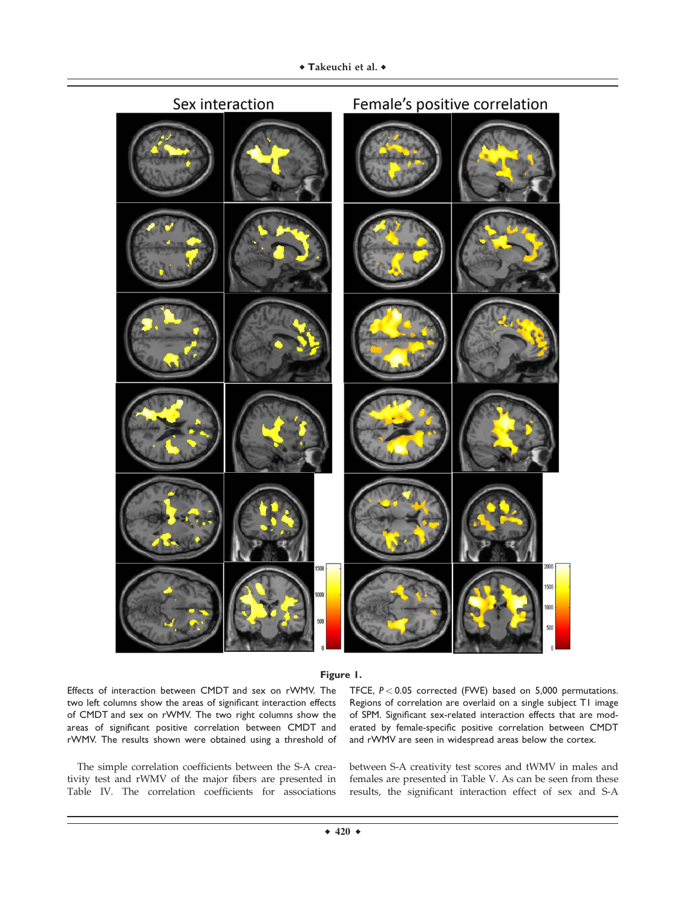



Effects of interaction between CMDT and sex on rWMV. The two left columns show the areas of significant interaction effects of CMDT and sex on rWMV. The two right columns show the areas of significant positive correlation between CMDT and rWMV. The results shown were obtained using a threshold of

The simple correlation coefficients between the S-A creativity test and rWMV of the major fibers are presented in Table IV. The correlation coefficients for associations

TFCE, *P* < 0.05 corrected (FWE) based on 5,000 permutations. Regions of correlation are overlaid on a single subject T1 image of SPM. Significant sex-related interaction effects that are moderated by female-specific positive correlation between CMDT and rWMV are seen in widespread areas below the cortex.

between S-A creativity test scores and tWMV in males and females are presented in Table V. As can be seen from these results, the significant interaction effect of sex and S-A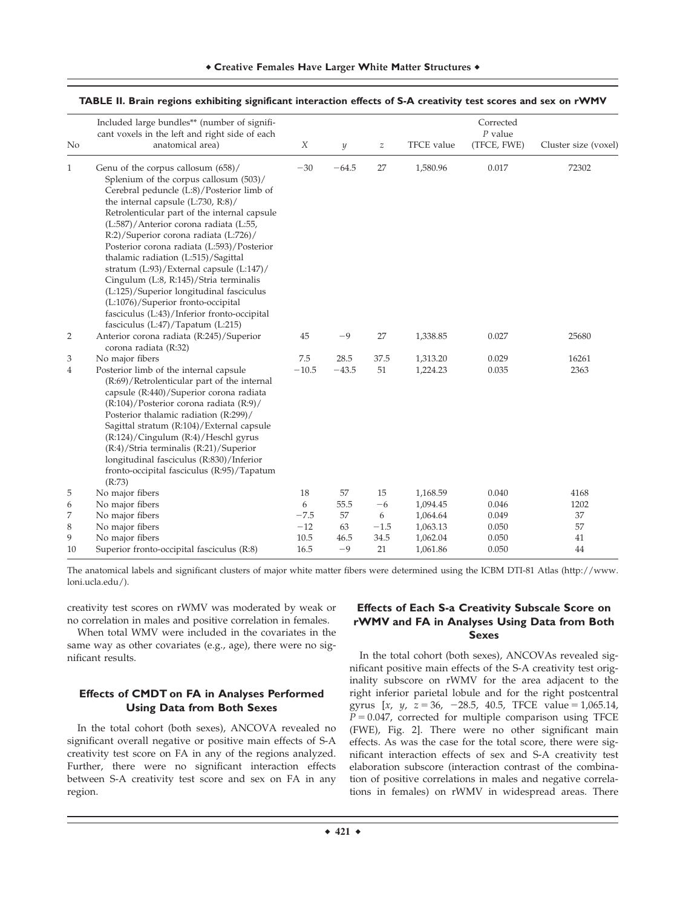|    | Included large bundles** (number of signifi-<br>cant voxels in the left and right side of each                                                                                                                                                                                                                                                                                                                                                                                                                                                                                                                 | X       |                  |                  | <b>TFCE</b> value | Corrected<br>$P$ value |                      |
|----|----------------------------------------------------------------------------------------------------------------------------------------------------------------------------------------------------------------------------------------------------------------------------------------------------------------------------------------------------------------------------------------------------------------------------------------------------------------------------------------------------------------------------------------------------------------------------------------------------------------|---------|------------------|------------------|-------------------|------------------------|----------------------|
| No | anatomical area)                                                                                                                                                                                                                                                                                                                                                                                                                                                                                                                                                                                               |         | $\boldsymbol{y}$ | $\boldsymbol{z}$ |                   | (TFCE, FWE)            | Cluster size (voxel) |
| 1  | Genu of the corpus callosum (658)/<br>Splenium of the corpus callosum (503)/<br>Cerebral peduncle (L:8)/Posterior limb of<br>the internal capsule (L:730, R:8)/<br>Retrolenticular part of the internal capsule<br>(L:587)/Anterior corona radiata (L:55,<br>R:2)/Superior corona radiata (L:726)/<br>Posterior corona radiata (L:593)/Posterior<br>thalamic radiation (L:515)/Sagittal<br>stratum (L:93)/External capsule (L:147)/<br>Cingulum (L:8, R:145)/Stria terminalis<br>(L:125)/Superior longitudinal fasciculus<br>(L:1076)/Superior fronto-occipital<br>fasciculus (L:43)/Inferior fronto-occipital | $-30$   | $-64.5$          | 27               | 1,580.96          | 0.017                  | 72302                |
|    | fasciculus (L:47)/Tapatum (L:215)                                                                                                                                                                                                                                                                                                                                                                                                                                                                                                                                                                              |         |                  |                  |                   |                        |                      |
| 2  | Anterior corona radiata (R:245)/Superior<br>corona radiata (R:32)                                                                                                                                                                                                                                                                                                                                                                                                                                                                                                                                              | 45      | $-9$             | 27               | 1,338.85          | 0.027                  | 25680                |
| 3  | No major fibers                                                                                                                                                                                                                                                                                                                                                                                                                                                                                                                                                                                                | 7.5     | 28.5             | 37.5             | 1,313.20          | 0.029                  | 16261                |
| 4  | Posterior limb of the internal capsule<br>(R:69)/Retrolenticular part of the internal<br>capsule (R:440)/Superior corona radiata<br>$(R:104)/Posterior$ corona radiata $(R:9)/$<br>Posterior thalamic radiation (R:299)/<br>Sagittal stratum (R:104)/External capsule<br>(R:124)/Cingulum (R:4)/Heschl gyrus<br>(R:4)/Stria terminalis (R:21)/Superior<br>longitudinal fasciculus (R:830)/Inferior<br>fronto-occipital fasciculus (R:95)/Tapatum<br>(R:73)                                                                                                                                                     | $-10.5$ | $-43.5$          | 51               | 1,224.23          | 0.035                  | 2363                 |
| 5  | No major fibers                                                                                                                                                                                                                                                                                                                                                                                                                                                                                                                                                                                                | 18      | 57               | 15               | 1,168.59          | 0.040                  | 4168                 |
| 6  | No major fibers                                                                                                                                                                                                                                                                                                                                                                                                                                                                                                                                                                                                | 6       | 55.5             | $-6$             | 1,094.45          | 0.046                  | 1202                 |
| 7  | No major fibers                                                                                                                                                                                                                                                                                                                                                                                                                                                                                                                                                                                                | $-7.5$  | 57               | 6                | 1,064.64          | 0.049                  | 37                   |
| 8  | No major fibers                                                                                                                                                                                                                                                                                                                                                                                                                                                                                                                                                                                                | $-12$   | 63               | $-1.5$           | 1,063.13          | 0.050                  | 57                   |
| 9  | No major fibers                                                                                                                                                                                                                                                                                                                                                                                                                                                                                                                                                                                                | 10.5    | 46.5             | 34.5             | 1,062.04          | 0.050                  | 41                   |
| 10 | Superior fronto-occipital fasciculus (R:8)                                                                                                                                                                                                                                                                                                                                                                                                                                                                                                                                                                     | 16.5    | $-9$             | 21               | 1,061.86          | 0.050                  | 44                   |

#### **TABLE II. Brain regions exhibiting significant interaction effects of S-A creativity test scores and sex on rWMV**

The anatomical labels and significant clusters of major white matter fibers were determined using the ICBM DTI-81 Atlas ([http://www.](http://www.loni.ucla.edu/) [loni.ucla.edu/\)](http://www.loni.ucla.edu/).

creativity test scores on rWMV was moderated by weak or no correlation in males and positive correlation in females.

When total WMV were included in the covariates in the same way as other covariates (e.g., age), there were no significant results.

# **Effects of CMDT on FA in Analyses Performed Using Data from Both Sexes**

In the total cohort (both sexes), ANCOVA revealed no significant overall negative or positive main effects of S-A creativity test score on FA in any of the regions analyzed. Further, there were no significant interaction effects between S-A creativity test score and sex on FA in any region.

# **Effects of Each S-a Creativity Subscale Score on rWMV and FA in Analyses Using Data from Both Sexes**

In the total cohort (both sexes), ANCOVAs revealed significant positive main effects of the S-A creativity test originality subscore on rWMV for the area adjacent to the right inferior parietal lobule and for the right postcentral gyrus  $[x, y, z = 36, -28.5, 40.5, TFCE value = 1,065.14,$  $P = 0.047$ , corrected for multiple comparison using TFCE (FWE), Fig. 2]. There were no other significant main effects. As was the case for the total score, there were significant interaction effects of sex and S-A creativity test elaboration subscore (interaction contrast of the combination of positive correlations in males and negative correlations in females) on rWMV in widespread areas. There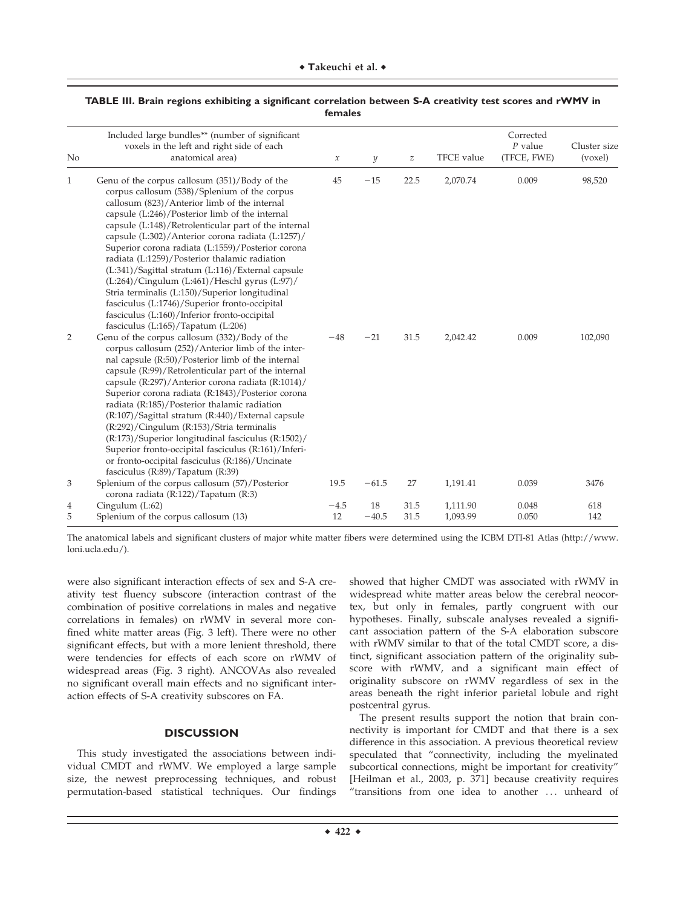| No           | Included large bundles** (number of significant<br>voxels in the left and right side of each<br>anatomical area)                                                                                                                                                                                                                                                                                                                                                                                                                                                                                                                                                                                                  | $\boldsymbol{\chi}$ | $\mathcal{Y}$ | $\boldsymbol{z}$ | TFCE value           | Corrected<br>$P$ value<br>(TFCE, FWE) | Cluster size<br>(voxel) |
|--------------|-------------------------------------------------------------------------------------------------------------------------------------------------------------------------------------------------------------------------------------------------------------------------------------------------------------------------------------------------------------------------------------------------------------------------------------------------------------------------------------------------------------------------------------------------------------------------------------------------------------------------------------------------------------------------------------------------------------------|---------------------|---------------|------------------|----------------------|---------------------------------------|-------------------------|
| $\mathbf{1}$ | Genu of the corpus callosum (351)/Body of the<br>corpus callosum (538)/Splenium of the corpus<br>callosum (823)/Anterior limb of the internal<br>capsule (L:246)/Posterior limb of the internal<br>capsule (L:148)/Retrolenticular part of the internal<br>capsule (L:302)/Anterior corona radiata (L:1257)/<br>Superior corona radiata (L:1559)/Posterior corona<br>radiata (L:1259)/Posterior thalamic radiation<br>(L:341)/Sagittal stratum (L:116)/External capsule<br>(L:264)/Cingulum (L:461)/Heschl gyrus (L:97)/<br>Stria terminalis (L:150)/Superior longitudinal<br>fasciculus (L:1746)/Superior fronto-occipital<br>fasciculus (L:160)/Inferior fronto-occipital<br>fasciculus (L:165)/Tapatum (L:206) | 45                  | $-15$         | 22.5             | 2,070.74             | 0.009                                 | 98,520                  |
| 2            | Genu of the corpus callosum (332)/Body of the<br>corpus callosum (252)/Anterior limb of the inter-<br>nal capsule (R:50)/Posterior limb of the internal<br>capsule (R:99)/Retrolenticular part of the internal<br>capsule (R:297)/Anterior corona radiata (R:1014)/<br>Superior corona radiata (R:1843)/Posterior corona<br>radiata (R:185)/Posterior thalamic radiation<br>(R:107)/Sagittal stratum (R:440)/External capsule<br>$(R:292)/C$ ingulum $(R:153)/S$ tria terminalis<br>(R:173)/Superior longitudinal fasciculus (R:1502)/<br>Superior fronto-occipital fasciculus (R:161)/Inferi-<br>or fronto-occipital fasciculus (R:186)/Uncinate<br>fasciculus (R:89)/Tapatum (R:39)                             | $-48$               | $-21$         | 31.5             | 2,042.42             | 0.009                                 | 102,090                 |
| 3            | Splenium of the corpus callosum (57)/Posterior<br>corona radiata (R:122)/Tapatum (R:3)                                                                                                                                                                                                                                                                                                                                                                                                                                                                                                                                                                                                                            | 19.5                | $-61.5$       | 27               | 1,191.41             | 0.039                                 | 3476                    |
| 4<br>5       | Cingulum $(L:62)$<br>Splenium of the corpus callosum (13)                                                                                                                                                                                                                                                                                                                                                                                                                                                                                                                                                                                                                                                         | $-4.5$<br>12        | 18<br>$-40.5$ | 31.5<br>31.5     | 1,111.90<br>1,093.99 | 0.048<br>0.050                        | 618<br>142              |

# **TABLE III. Brain regions exhibiting a significant correlation between S-A creativity test scores and rWMV in females**

The anatomical labels and significant clusters of major white matter fibers were determined using the ICBM DTI-81 Atlas ([http://www.](http://www.loni.ucla.edu/) [loni.ucla.edu/\)](http://www.loni.ucla.edu/).

were also significant interaction effects of sex and S-A creativity test fluency subscore (interaction contrast of the combination of positive correlations in males and negative correlations in females) on rWMV in several more confined white matter areas (Fig. 3 left). There were no other significant effects, but with a more lenient threshold, there were tendencies for effects of each score on rWMV of widespread areas (Fig. 3 right). ANCOVAs also revealed no significant overall main effects and no significant interaction effects of S-A creativity subscores on FA.

# **DISCUSSION**

This study investigated the associations between individual CMDT and rWMV. We employed a large sample size, the newest preprocessing techniques, and robust permutation-based statistical techniques. Our findings showed that higher CMDT was associated with rWMV in widespread white matter areas below the cerebral neocortex, but only in females, partly congruent with our hypotheses. Finally, subscale analyses revealed a significant association pattern of the S-A elaboration subscore with rWMV similar to that of the total CMDT score, a distinct, significant association pattern of the originality subscore with rWMV, and a significant main effect of originality subscore on rWMV regardless of sex in the areas beneath the right inferior parietal lobule and right postcentral gyrus.

The present results support the notion that brain connectivity is important for CMDT and that there is a sex difference in this association. A previous theoretical review speculated that "connectivity, including the myelinated subcortical connections, might be important for creativity" [Heilman et al., 2003, p. 371] because creativity requires "transitions from one idea to another ... unheard of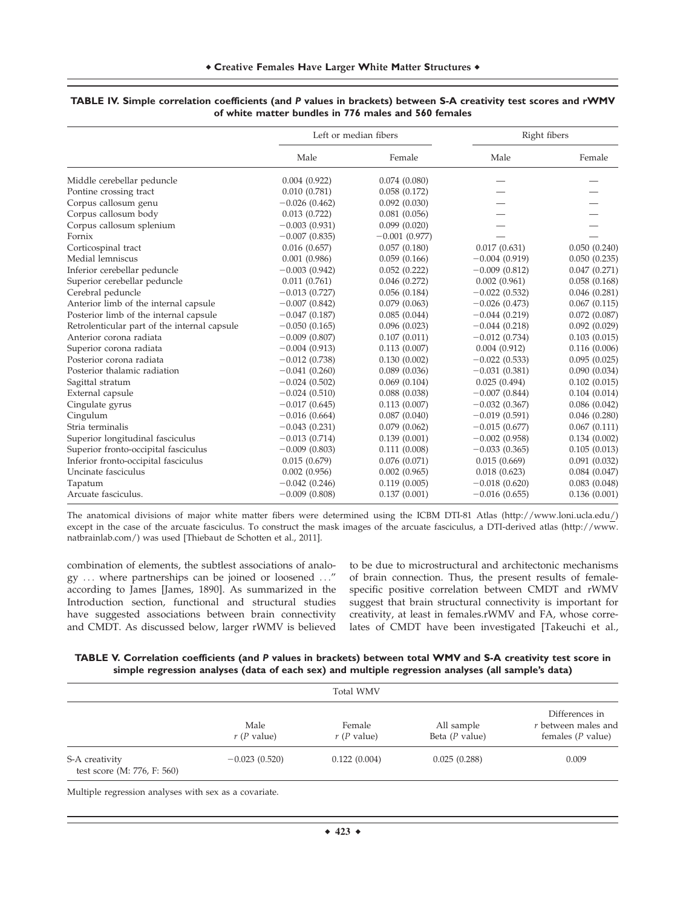|                                              |                  | Left or median fibers | Right fibers    |              |
|----------------------------------------------|------------------|-----------------------|-----------------|--------------|
|                                              | Male             | Female                | Male            | Female       |
| Middle cerebellar peduncle                   | 0.004(0.922)     | 0.074(0.080)          |                 |              |
| Pontine crossing tract                       | 0.010(0.781)     | 0.058(0.172)          |                 |              |
| Corpus callosum genu                         | $-0.026(0.462)$  | 0.092(0.030)          |                 |              |
| Corpus callosum body                         | 0.013(0.722)     | 0.081(0.056)          |                 |              |
| Corpus callosum splenium                     | $-0.003(0.931)$  | 0.099(0.020)          |                 |              |
| Fornix                                       | $-0.007(0.835)$  | $-0.001(0.977)$       |                 |              |
| Corticospinal tract                          | 0.016(0.657)     | 0.057(0.180)          | 0.017(0.631)    | 0.050(0.240) |
| Medial lemniscus                             | 0.001(0.986)     | 0.059(0.166)          | $-0.004(0.919)$ | 0.050(0.235) |
| Inferior cerebellar peduncle                 | $-0.003(0.942)$  | 0.052(0.222)          | $-0.009(0.812)$ | 0.047(0.271) |
| Superior cerebellar peduncle                 | 0.011(0.761)     | 0.046(0.272)          | 0.002(0.961)    | 0.058(0.168) |
| Cerebral peduncle                            | $-0.013(0.727)$  | 0.056(0.184)          | $-0.022(0.532)$ | 0.046(0.281) |
| Anterior limb of the internal capsule        | $-0.007(0.842)$  | 0.079(0.063)          | $-0.026(0.473)$ | 0.067(0.115) |
| Posterior limb of the internal capsule       | $-0.047(0.187)$  | 0.085(0.044)          | $-0.044(0.219)$ | 0.072(0.087) |
| Retrolenticular part of the internal capsule | $-0.050(0.165)$  | 0.096(0.023)          | $-0.044(0.218)$ | 0.092(0.029) |
| Anterior corona radiata                      | $-0.009$ (0.807) | 0.107(0.011)          | $-0.012(0.734)$ | 0.103(0.015) |
| Superior corona radiata                      | $-0.004(0.913)$  | 0.113(0.007)          | 0.004(0.912)    | 0.116(0.006) |
| Posterior corona radiata                     | $-0.012(0.738)$  | 0.130(0.002)          | $-0.022(0.533)$ | 0.095(0.025) |
| Posterior thalamic radiation                 | $-0.041(0.260)$  | 0.089(0.036)          | $-0.031(0.381)$ | 0.090(0.034) |
| Sagittal stratum                             | $-0.024(0.502)$  | 0.069(0.104)          | 0.025(0.494)    | 0.102(0.015) |
| External capsule                             | $-0.024(0.510)$  | 0.088(0.038)          | $-0.007(0.844)$ | 0.104(0.014) |
| Cingulate gyrus                              | $-0.017(0.645)$  | 0.113(0.007)          | $-0.032(0.367)$ | 0.086(0.042) |
| Cingulum                                     | $-0.016(0.664)$  | 0.087(0.040)          | $-0.019(0.591)$ | 0.046(0.280) |
| Stria terminalis                             | $-0.043(0.231)$  | 0.079(0.062)          | $-0.015(0.677)$ | 0.067(0.111) |
| Superior longitudinal fasciculus             | $-0.013(0.714)$  | 0.139(0.001)          | $-0.002(0.958)$ | 0.134(0.002) |
| Superior fronto-occipital fasciculus         | $-0.009(0.803)$  | 0.111(0.008)          | $-0.033(0.365)$ | 0.105(0.013) |
| Inferior fronto-occipital fasciculus         | 0.015(0.679)     | 0.076(0.071)          | 0.015(0.669)    | 0.091(0.032) |
| Uncinate fasciculus                          | 0.002(0.956)     | 0.002(0.965)          | 0.018(0.623)    | 0.084(0.047) |
| Tapatum                                      | $-0.042(0.246)$  | 0.119(0.005)          | $-0.018(0.620)$ | 0.083(0.048) |
| Arcuate fasciculus.                          | $-0.009(0.808)$  | 0.137(0.001)          | $-0.016(0.655)$ | 0.136(0.001) |

#### **TABLE IV. Simple correlation coefficients (and** P **values in brackets) between S-A creativity test scores and rWMV of white matter bundles in 776 males and 560 females**

The anatomical divisions of major white matter fibers were determined using the ICBM DTI-81 Atlas [\(http://www.loni.ucla.edu](http://www.loni.ucla.edu)/) except in the case of the arcuate fasciculus. To construct the mask images of the arcuate fasciculus, a DTI-derived atlas ([http://www.](http://www.natbrainlab.com) [natbrainlab.com](http://www.natbrainlab.com)/) was used [Thiebaut de Schotten et al., 2011].

combination of elements, the subtlest associations of analogy ... where partnerships can be joined or loosened ..." according to James [James, 1890]. As summarized in the Introduction section, functional and structural studies have suggested associations between brain connectivity and CMDT. As discussed below, larger rWMV is believed

to be due to microstructural and architectonic mechanisms of brain connection. Thus, the present results of femalespecific positive correlation between CMDT and rWMV suggest that brain structural connectivity is important for creativity, at least in females.rWMV and FA, whose correlates of CMDT have been investigated [Takeuchi et al.,

**TABLE V. Correlation coefficients (and** P **values in brackets) between total WMV and S-A creativity test score in simple regression analyses (data of each sex) and multiple regression analyses (all sample's data)**

|                                                 | <b>Total WMV</b>     |                        |                                |                                                              |  |  |
|-------------------------------------------------|----------------------|------------------------|--------------------------------|--------------------------------------------------------------|--|--|
|                                                 | Male<br>$r(P$ value) | Female<br>$r(P$ value) | All sample<br>Beta $(P$ value) | Differences in<br>r between males and<br>females $(P$ value) |  |  |
| S-A creativity<br>test score $(M: 776, F: 560)$ | $-0.023(0.520)$      | 0.122(0.004)           | 0.025(0.288)                   | 0.009                                                        |  |  |

Multiple regression analyses with sex as a covariate.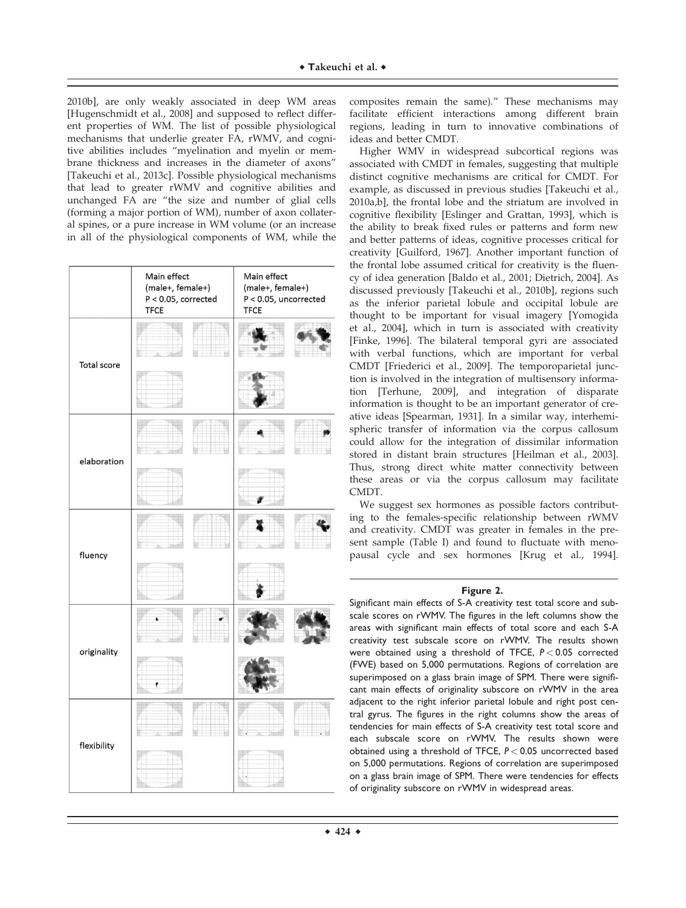2010b], are only weakly associated in deep WM areas [Hugenschmidt et al., 2008] and supposed to reflect different properties of WM. The list of possible physiological mechanisms that underlie greater FA, rWMV, and cognitive abilities includes "myelination and myelin or membrane thickness and increases in the diameter of axons" [Takeuchi et al., 2013c]. Possible physiological mechanisms that lead to greater rWMV and cognitive abilities and unchanged FA are "the size and number of glial cells (forming a major portion of WM), number of axon collateral spines, or a pure increase in WM volume (or an increase in all of the physiological components of WM, while the

|             | Main effect<br>(male+, female+)<br>$P < 0.05$ , corrected<br><b>TFCE</b> | Main effect<br>(male+, female+)<br>$P < 0.05$ , uncorrected<br><b>TFCE</b> |  |  |
|-------------|--------------------------------------------------------------------------|----------------------------------------------------------------------------|--|--|
| Total score |                                                                          |                                                                            |  |  |
|             |                                                                          |                                                                            |  |  |
|             |                                                                          |                                                                            |  |  |
| elaboration |                                                                          |                                                                            |  |  |
| fluency     |                                                                          |                                                                            |  |  |
|             |                                                                          |                                                                            |  |  |
| originality |                                                                          |                                                                            |  |  |
|             |                                                                          |                                                                            |  |  |
| flexibility |                                                                          |                                                                            |  |  |
|             |                                                                          |                                                                            |  |  |

composites remain the same)." These mechanisms may facilitate efficient interactions among different brain regions, leading in turn to innovative combinations of ideas and better CMDT.

Higher WMV in widespread subcortical regions was associated with CMDT in females, suggesting that multiple distinct cognitive mechanisms are critical for CMDT. For example, as discussed in previous studies [Takeuchi et al., 2010a,b], the frontal lobe and the striatum are involved in cognitive flexibility [Eslinger and Grattan, 1993], which is the ability to break fixed rules or patterns and form new and better patterns of ideas, cognitive processes critical for creativity [Guilford, 1967]. Another important function of the frontal lobe assumed critical for creativity is the fluency of idea generation [Baldo et al., 2001; Dietrich, 2004]. As discussed previously [Takeuchi et al., 2010b], regions such as the inferior parietal lobule and occipital lobule are thought to be important for visual imagery [Yomogida et al., 2004], which in turn is associated with creativity [Finke, 1996]. The bilateral temporal gyri are associated with verbal functions, which are important for verbal CMDT [Friederici et al., 2009]. The temporoparietal junction is involved in the integration of multisensory information [Terhune, 2009], and integration of disparate information is thought to be an important generator of creative ideas [Spearman, 1931]. In a similar way, interhemispheric transfer of information via the corpus callosum could allow for the integration of dissimilar information stored in distant brain structures [Heilman et al., 2003]. Thus, strong direct white matter connectivity between these areas or via the corpus callosum may facilitate CMDT.

We suggest sex hormones as possible factors contributing to the females-specific relationship between rWMV and creativity. CMDT was greater in females in the present sample (Table I) and found to fluctuate with menopausal cycle and sex hormones [Krug et al., 1994].

# **Figure 2.**

Significant main effects of S-A creativity test total score and subscale scores on rWMV. The figures in the left columns show the areas with significant main effects of total score and each S-A creativity test subscale score on rWMV. The results shown were obtained using a threshold of TFCE, *P* < 0.05 corrected (FWE) based on 5,000 permutations. Regions of correlation are superimposed on a glass brain image of SPM. There were significant main effects of originality subscore on rWMV in the area adjacent to the right inferior parietal lobule and right post central gyrus. The figures in the right columns show the areas of tendencies for main effects of S-A creativity test total score and each subscale score on rWMV. The results shown were obtained using a threshold of TFCE, *P* < 0.05 uncorrected based on 5,000 permutations. Regions of correlation are superimposed on a glass brain image of SPM. There were tendencies for effects of originality subscore on rWMV in widespread areas.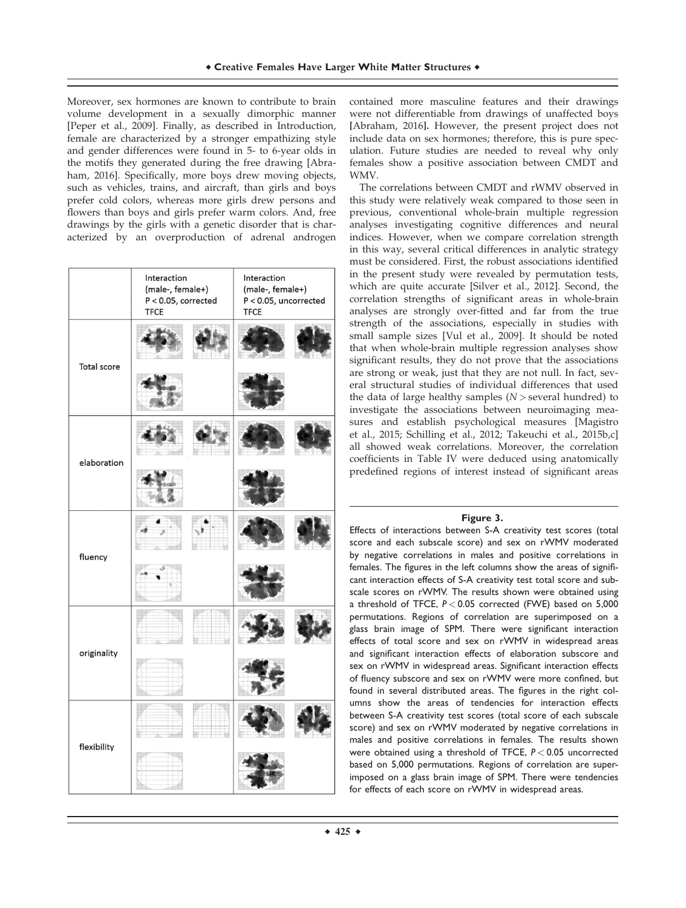Moreover, sex hormones are known to contribute to brain volume development in a sexually dimorphic manner [Peper et al., 2009]. Finally, as described in Introduction, female are characterized by a stronger empathizing style and gender differences were found in 5- to 6-year olds in the motifs they generated during the free drawing [Abraham, 2016]. Specifically, more boys drew moving objects, such as vehicles, trains, and aircraft, than girls and boys prefer cold colors, whereas more girls drew persons and flowers than boys and girls prefer warm colors. And, free drawings by the girls with a genetic disorder that is characterized by an overproduction of adrenal androgen

|                    | Interaction<br>(male-, female+)<br>$P < 0.05$ , corrected<br><b>TFCE</b> | Interaction<br>(male-, female+)<br>P < 0.05, uncorrected<br><b>TFCE</b> |  |
|--------------------|--------------------------------------------------------------------------|-------------------------------------------------------------------------|--|
| <b>Total score</b> |                                                                          |                                                                         |  |
|                    |                                                                          |                                                                         |  |
| elaboration        |                                                                          |                                                                         |  |
|                    |                                                                          |                                                                         |  |
| fluency            |                                                                          |                                                                         |  |
|                    |                                                                          |                                                                         |  |
|                    |                                                                          |                                                                         |  |
| originality        |                                                                          |                                                                         |  |
| flexibility        |                                                                          |                                                                         |  |
|                    |                                                                          |                                                                         |  |

contained more masculine features and their drawings were not differentiable from drawings of unaffected boys [Abraham, 2016]. However, the present project does not include data on sex hormones; therefore, this is pure speculation. Future studies are needed to reveal why only females show a positive association between CMDT and WMV.

The correlations between CMDT and rWMV observed in this study were relatively weak compared to those seen in previous, conventional whole-brain multiple regression analyses investigating cognitive differences and neural indices. However, when we compare correlation strength in this way, several critical differences in analytic strategy must be considered. First, the robust associations identified in the present study were revealed by permutation tests, which are quite accurate [Silver et al., 2012]. Second, the correlation strengths of significant areas in whole-brain analyses are strongly over-fitted and far from the true strength of the associations, especially in studies with small sample sizes [Vul et al., 2009]. It should be noted that when whole-brain multiple regression analyses show significant results, they do not prove that the associations are strong or weak, just that they are not null. In fact, several structural studies of individual differences that used the data of large healthy samples  $(N >$  several hundred) to investigate the associations between neuroimaging measures and establish psychological measures [Magistro et al., 2015; Schilling et al., 2012; Takeuchi et al., 2015b,c] all showed weak correlations. Moreover, the correlation coefficients in Table IV were deduced using anatomically predefined regions of interest instead of significant areas

## **Figure 3.**

Effects of interactions between S-A creativity test scores (total score and each subscale score) and sex on rWMV moderated by negative correlations in males and positive correlations in females. The figures in the left columns show the areas of significant interaction effects of S-A creativity test total score and subscale scores on rWMV. The results shown were obtained using a threshold of TFCE, *P* < 0.05 corrected (FWE) based on 5,000 permutations. Regions of correlation are superimposed on a glass brain image of SPM. There were significant interaction effects of total score and sex on rWMV in widespread areas and significant interaction effects of elaboration subscore and sex on rWMV in widespread areas. Significant interaction effects of fluency subscore and sex on rWMV were more confined, but found in several distributed areas. The figures in the right columns show the areas of tendencies for interaction effects between S-A creativity test scores (total score of each subscale score) and sex on rWMV moderated by negative correlations in males and positive correlations in females. The results shown were obtained using a threshold of TFCE, *P* < 0.05 uncorrected based on 5,000 permutations. Regions of correlation are superimposed on a glass brain image of SPM. There were tendencies for effects of each score on rWMV in widespread areas.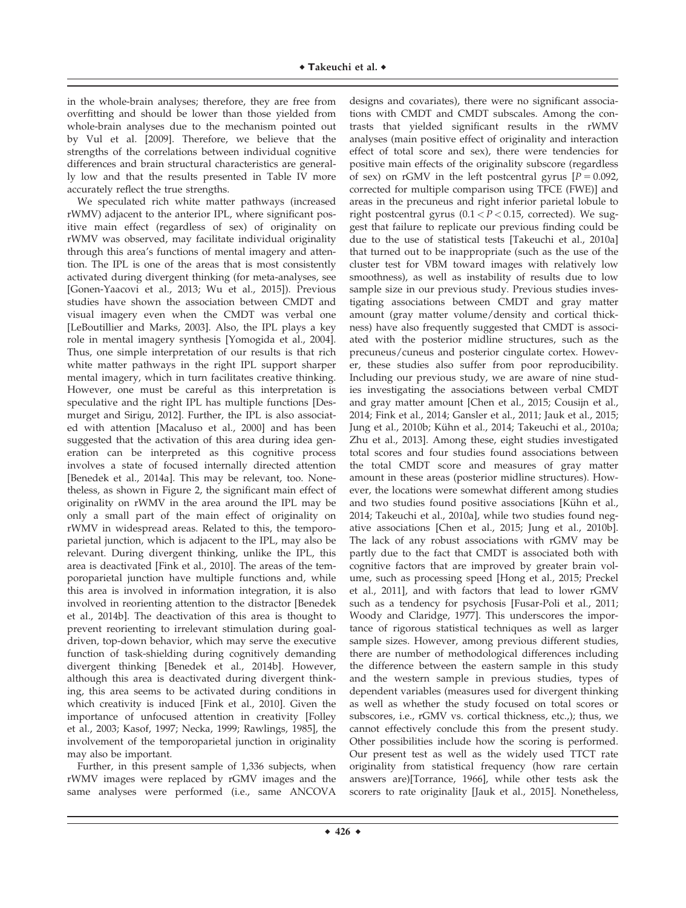in the whole-brain analyses; therefore, they are free from overfitting and should be lower than those yielded from whole-brain analyses due to the mechanism pointed out by Vul et al. [2009]. Therefore, we believe that the strengths of the correlations between individual cognitive differences and brain structural characteristics are generally low and that the results presented in Table IV more accurately reflect the true strengths.

We speculated rich white matter pathways (increased rWMV) adjacent to the anterior IPL, where significant positive main effect (regardless of sex) of originality on rWMV was observed, may facilitate individual originality through this area's functions of mental imagery and attention. The IPL is one of the areas that is most consistently activated during divergent thinking (for meta-analyses, see [Gonen-Yaacovi et al., 2013; Wu et al., 2015]). Previous studies have shown the association between CMDT and visual imagery even when the CMDT was verbal one [LeBoutillier and Marks, 2003]. Also, the IPL plays a key role in mental imagery synthesis [Yomogida et al., 2004]. Thus, one simple interpretation of our results is that rich white matter pathways in the right IPL support sharper mental imagery, which in turn facilitates creative thinking. However, one must be careful as this interpretation is speculative and the right IPL has multiple functions [Desmurget and Sirigu, 2012]. Further, the IPL is also associated with attention [Macaluso et al., 2000] and has been suggested that the activation of this area during idea generation can be interpreted as this cognitive process involves a state of focused internally directed attention [Benedek et al., 2014a]. This may be relevant, too. Nonetheless, as shown in Figure 2, the significant main effect of originality on rWMV in the area around the IPL may be only a small part of the main effect of originality on rWMV in widespread areas. Related to this, the temporoparietal junction, which is adjacent to the IPL, may also be relevant. During divergent thinking, unlike the IPL, this area is deactivated [Fink et al., 2010]. The areas of the temporoparietal junction have multiple functions and, while this area is involved in information integration, it is also involved in reorienting attention to the distractor [Benedek et al., 2014b]. The deactivation of this area is thought to prevent reorienting to irrelevant stimulation during goaldriven, top-down behavior, which may serve the executive function of task-shielding during cognitively demanding divergent thinking [Benedek et al., 2014b]. However, although this area is deactivated during divergent thinking, this area seems to be activated during conditions in which creativity is induced [Fink et al., 2010]. Given the importance of unfocused attention in creativity [Folley et al., 2003; Kasof, 1997; Necka, 1999; Rawlings, 1985], the involvement of the temporoparietal junction in originality may also be important.

Further, in this present sample of 1,336 subjects, when rWMV images were replaced by rGMV images and the same analyses were performed (i.e., same ANCOVA

designs and covariates), there were no significant associations with CMDT and CMDT subscales. Among the contrasts that yielded significant results in the rWMV analyses (main positive effect of originality and interaction effect of total score and sex), there were tendencies for positive main effects of the originality subscore (regardless of sex) on rGMV in the left postcentral gyrus  $[P = 0.092]$ , corrected for multiple comparison using TFCE (FWE)] and areas in the precuneus and right inferior parietal lobule to right postcentral gyrus  $(0.1 < P < 0.15$ , corrected). We suggest that failure to replicate our previous finding could be due to the use of statistical tests [Takeuchi et al., 2010a] that turned out to be inappropriate (such as the use of the cluster test for VBM toward images with relatively low smoothness), as well as instability of results due to low sample size in our previous study. Previous studies investigating associations between CMDT and gray matter amount (gray matter volume/density and cortical thickness) have also frequently suggested that CMDT is associated with the posterior midline structures, such as the precuneus/cuneus and posterior cingulate cortex. However, these studies also suffer from poor reproducibility. Including our previous study, we are aware of nine studies investigating the associations between verbal CMDT and gray matter amount [Chen et al., 2015; Cousijn et al., 2014; Fink et al., 2014; Gansler et al., 2011; Jauk et al., 2015; Jung et al., 2010b; Kühn et al., 2014; Takeuchi et al., 2010a; Zhu et al., 2013]. Among these, eight studies investigated total scores and four studies found associations between the total CMDT score and measures of gray matter amount in these areas (posterior midline structures). However, the locations were somewhat different among studies and two studies found positive associations [Kühn et al., 2014; Takeuchi et al., 2010a], while two studies found negative associations [Chen et al., 2015; Jung et al., 2010b]. The lack of any robust associations with rGMV may be partly due to the fact that CMDT is associated both with cognitive factors that are improved by greater brain volume, such as processing speed [Hong et al., 2015; Preckel et al., 2011], and with factors that lead to lower rGMV such as a tendency for psychosis [Fusar-Poli et al., 2011; Woody and Claridge, 1977]. This underscores the importance of rigorous statistical techniques as well as larger sample sizes. However, among previous different studies, there are number of methodological differences including the difference between the eastern sample in this study and the western sample in previous studies, types of dependent variables (measures used for divergent thinking as well as whether the study focused on total scores or subscores, i.e., rGMV vs. cortical thickness, etc.,); thus, we cannot effectively conclude this from the present study. Other possibilities include how the scoring is performed. Our present test as well as the widely used TTCT rate originality from statistical frequency (how rare certain answers are)[Torrance, 1966], while other tests ask the scorers to rate originality [Jauk et al., 2015]. Nonetheless,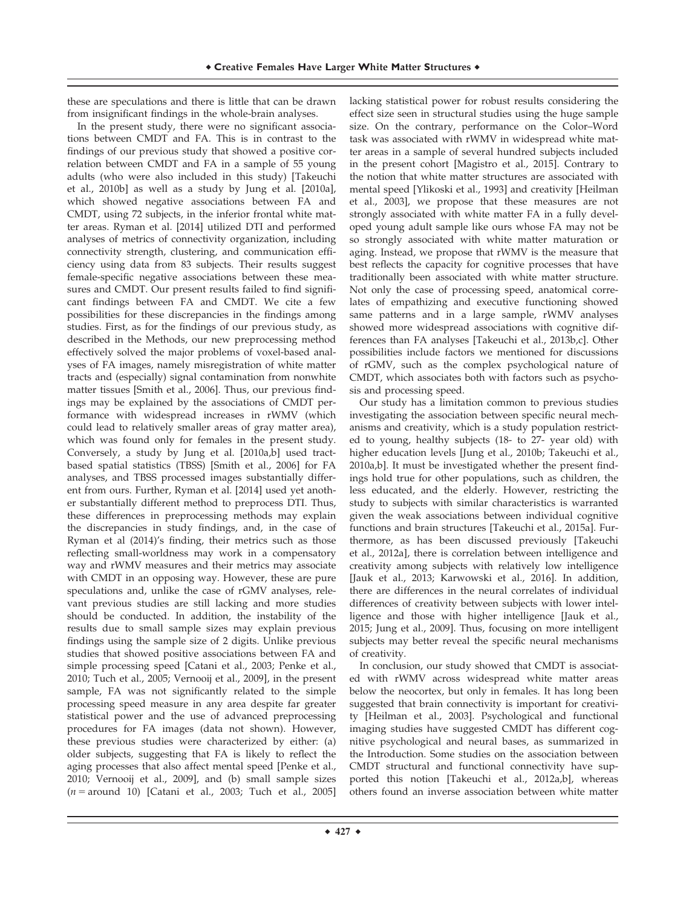these are speculations and there is little that can be drawn from insignificant findings in the whole-brain analyses.

In the present study, there were no significant associations between CMDT and FA. This is in contrast to the findings of our previous study that showed a positive correlation between CMDT and FA in a sample of 55 young adults (who were also included in this study) [Takeuchi et al., 2010b] as well as a study by Jung et al. [2010a], which showed negative associations between FA and CMDT, using 72 subjects, in the inferior frontal white matter areas. Ryman et al. [2014] utilized DTI and performed analyses of metrics of connectivity organization, including connectivity strength, clustering, and communication efficiency using data from 83 subjects. Their results suggest female-specific negative associations between these measures and CMDT. Our present results failed to find significant findings between FA and CMDT. We cite a few possibilities for these discrepancies in the findings among studies. First, as for the findings of our previous study, as described in the Methods, our new preprocessing method effectively solved the major problems of voxel-based analyses of FA images, namely misregistration of white matter tracts and (especially) signal contamination from nonwhite matter tissues [Smith et al., 2006]. Thus, our previous findings may be explained by the associations of CMDT performance with widespread increases in rWMV (which could lead to relatively smaller areas of gray matter area), which was found only for females in the present study. Conversely, a study by Jung et al. [2010a,b] used tractbased spatial statistics (TBSS) [Smith et al., 2006] for FA analyses, and TBSS processed images substantially different from ours. Further, Ryman et al. [2014] used yet another substantially different method to preprocess DTI. Thus, these differences in preprocessing methods may explain the discrepancies in study findings, and, in the case of Ryman et al (2014)'s finding, their metrics such as those reflecting small-worldness may work in a compensatory way and rWMV measures and their metrics may associate with CMDT in an opposing way. However, these are pure speculations and, unlike the case of rGMV analyses, relevant previous studies are still lacking and more studies should be conducted. In addition, the instability of the results due to small sample sizes may explain previous findings using the sample size of 2 digits. Unlike previous studies that showed positive associations between FA and simple processing speed [Catani et al., 2003; Penke et al., 2010; Tuch et al., 2005; Vernooij et al., 2009], in the present sample, FA was not significantly related to the simple processing speed measure in any area despite far greater statistical power and the use of advanced preprocessing procedures for FA images (data not shown). However, these previous studies were characterized by either: (a) older subjects, suggesting that FA is likely to reflect the aging processes that also affect mental speed [Penke et al., 2010; Vernooij et al., 2009], and (b) small sample sizes  $(n = \text{around } 10)$  [Catani et al., 2003; Tuch et al., 2005]

lacking statistical power for robust results considering the effect size seen in structural studies using the huge sample size. On the contrary, performance on the Color–Word task was associated with rWMV in widespread white matter areas in a sample of several hundred subjects included in the present cohort [Magistro et al., 2015]. Contrary to the notion that white matter structures are associated with mental speed [Ylikoski et al., 1993] and creativity [Heilman et al., 2003], we propose that these measures are not strongly associated with white matter FA in a fully developed young adult sample like ours whose FA may not be so strongly associated with white matter maturation or aging. Instead, we propose that rWMV is the measure that best reflects the capacity for cognitive processes that have traditionally been associated with white matter structure. Not only the case of processing speed, anatomical correlates of empathizing and executive functioning showed same patterns and in a large sample, rWMV analyses showed more widespread associations with cognitive differences than FA analyses [Takeuchi et al., 2013b,c]. Other possibilities include factors we mentioned for discussions of rGMV, such as the complex psychological nature of CMDT, which associates both with factors such as psychosis and processing speed.

Our study has a limitation common to previous studies investigating the association between specific neural mechanisms and creativity, which is a study population restricted to young, healthy subjects (18- to 27- year old) with higher education levels [Jung et al., 2010b; Takeuchi et al., 2010a,b]. It must be investigated whether the present findings hold true for other populations, such as children, the less educated, and the elderly. However, restricting the study to subjects with similar characteristics is warranted given the weak associations between individual cognitive functions and brain structures [Takeuchi et al., 2015a]. Furthermore, as has been discussed previously [Takeuchi et al., 2012a], there is correlation between intelligence and creativity among subjects with relatively low intelligence [Jauk et al., 2013; Karwowski et al., 2016]. In addition, there are differences in the neural correlates of individual differences of creativity between subjects with lower intelligence and those with higher intelligence [Jauk et al., 2015; Jung et al., 2009]. Thus, focusing on more intelligent subjects may better reveal the specific neural mechanisms of creativity.

In conclusion, our study showed that CMDT is associated with rWMV across widespread white matter areas below the neocortex, but only in females. It has long been suggested that brain connectivity is important for creativity [Heilman et al., 2003]. Psychological and functional imaging studies have suggested CMDT has different cognitive psychological and neural bases, as summarized in the Introduction. Some studies on the association between CMDT structural and functional connectivity have supported this notion [Takeuchi et al., 2012a,b], whereas others found an inverse association between white matter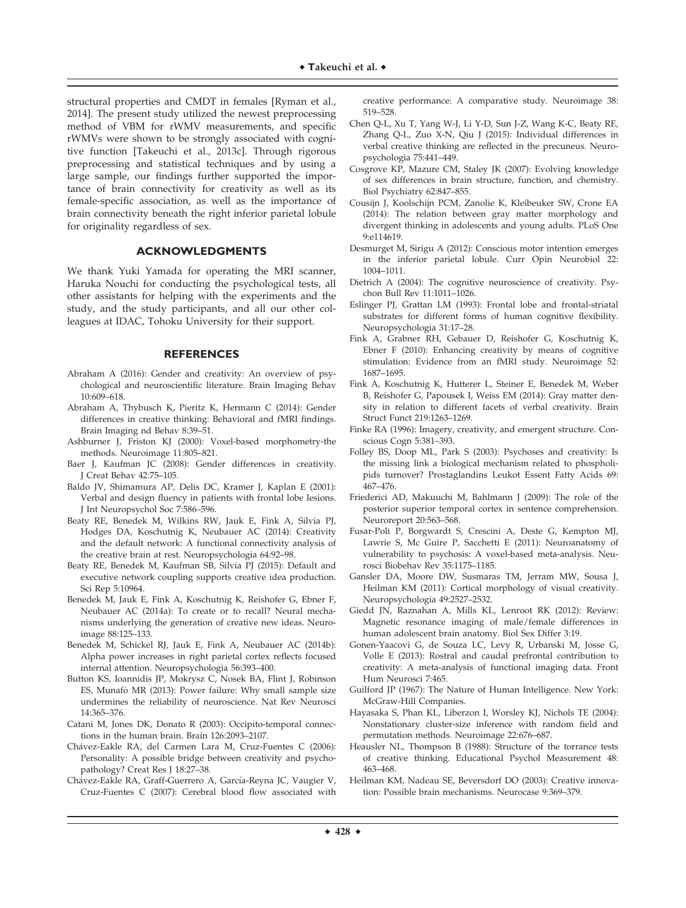structural properties and CMDT in females [Ryman et al., 2014]. The present study utilized the newest preprocessing method of VBM for rWMV measurements, and specific rWMVs were shown to be strongly associated with cognitive function [Takeuchi et al., 2013c]. Through rigorous preprocessing and statistical techniques and by using a large sample, our findings further supported the importance of brain connectivity for creativity as well as its female-specific association, as well as the importance of brain connectivity beneath the right inferior parietal lobule for originality regardless of sex.

## **ACKNOWLEDGMENTS**

We thank Yuki Yamada for operating the MRI scanner, Haruka Nouchi for conducting the psychological tests, all other assistants for helping with the experiments and the study, and the study participants, and all our other colleagues at IDAC, Tohoku University for their support.

## **REFERENCES**

- Abraham A (2016): Gender and creativity: An overview of psychological and neuroscientific literature. Brain Imaging Behav 10:609–618.
- Abraham A, Thybusch K, Pieritz K, Hermann C (2014): Gender differences in creative thinking: Behavioral and fMRI findings. Brain Imaging nd Behav 8:39–51.
- Ashburner J, Friston KJ (2000): Voxel-based morphometry-the methods. Neuroimage 11:805–821.
- Baer J, Kaufman JC (2008): Gender differences in creativity. J Creat Behav 42:75–105.
- Baldo JV, Shimamura AP, Delis DC, Kramer J, Kaplan E (2001): Verbal and design fluency in patients with frontal lobe lesions. J Int Neuropsychol Soc 7:586–596.
- Beaty RE, Benedek M, Wilkins RW, Jauk E, Fink A, Silvia PJ, Hodges DA, Koschutnig K, Neubauer AC (2014): Creativity and the default network: A functional connectivity analysis of the creative brain at rest. Neuropsychologia 64:92–98.
- Beaty RE, Benedek M, Kaufman SB, Silvia PJ (2015): Default and executive network coupling supports creative idea production. Sci Rep 5:10964.
- Benedek M, Jauk E, Fink A, Koschutnig K, Reishofer G, Ebner F, Neubauer AC (2014a): To create or to recall? Neural mechanisms underlying the generation of creative new ideas. Neuroimage 88:125–133.
- Benedek M, Schickel RJ, Jauk E, Fink A, Neubauer AC (2014b): Alpha power increases in right parietal cortex reflects focused internal attention. Neuropsychologia 56:393–400.
- Button KS, Ioannidis JP, Mokrysz C, Nosek BA, Flint J, Robinson ES, Munafò MR (2013): Power failure: Why small sample size undermines the reliability of neuroscience. Nat Rev Neurosci 14:365–376.
- Catani M, Jones DK, Donato R (2003): Occipito-temporal connections in the human brain. Brain 126:2093–2107.
- Chávez-Eakle RA, del Carmen Lara M, Cruz-Fuentes C (2006): Personality: A possible bridge between creativity and psychopathology? Creat Res J 18:27–38.
- Chávez-Eakle RA, Graff-Guerrero A, García-Reyna JC, Vaugier V, Cruz-Fuentes C (2007): Cerebral blood flow associated with

creative performance: A comparative study. Neuroimage 38: 519–528.

- Chen Q-L, Xu T, Yang W-J, Li Y-D, Sun J-Z, Wang K-C, Beaty RE, Zhang Q-L, Zuo X-N, Qiu J (2015): Individual differences in verbal creative thinking are reflected in the precuneus. Neuropsychologia 75:441–449.
- Cosgrove KP, Mazure CM, Staley JK (2007): Evolving knowledge of sex differences in brain structure, function, and chemistry. Biol Psychiatry 62:847–855.
- Cousijn J, Koolschijn PCM, Zanolie K, Kleibeuker SW, Crone EA (2014): The relation between gray matter morphology and divergent thinking in adolescents and young adults. PLoS One 9:e114619.
- Desmurget M, Sirigu A (2012): Conscious motor intention emerges in the inferior parietal lobule. Curr Opin Neurobiol 22: 1004–1011.
- Dietrich A (2004): The cognitive neuroscience of creativity. Psychon Bull Rev 11:1011–1026.
- Eslinger PJ, Grattan LM (1993): Frontal lobe and frontal-striatal substrates for different forms of human cognitive flexibility. Neuropsychologia 31:17–28.
- Fink A, Grabner RH, Gebauer D, Reishofer G, Koschutnig K, Ebner F (2010): Enhancing creativity by means of cognitive stimulation: Evidence from an fMRI study. Neuroimage 52: 1687–1695.
- Fink A, Koschutnig K, Hutterer L, Steiner E, Benedek M, Weber B, Reishofer G, Papousek I, Weiss EM (2014): Gray matter density in relation to different facets of verbal creativity. Brain Struct Funct 219:1263–1269.
- Finke RA (1996): Imagery, creativity, and emergent structure. Conscious Cogn 5:381–393.
- Folley BS, Doop ML, Park S (2003): Psychoses and creativity: Is the missing link a biological mechanism related to phospholipids turnover? Prostaglandins Leukot Essent Fatty Acids 69: 467–476.
- Friederici AD, Makuuchi M, Bahlmann J (2009): The role of the posterior superior temporal cortex in sentence comprehension. Neuroreport 20:563–568.
- Fusar-Poli P, Borgwardt S, Crescini A, Deste G, Kempton MJ, Lawrie S, Mc Guire P, Sacchetti E (2011): Neuroanatomy of vulnerability to psychosis: A voxel-based meta-analysis. Neurosci Biobehav Rev 35:1175–1185.
- Gansler DA, Moore DW, Susmaras TM, Jerram MW, Sousa J, Heilman KM (2011): Cortical morphology of visual creativity. Neuropsychologia 49:2527–2532.
- Giedd JN, Raznahan A, Mills KL, Lenroot RK (2012): Review: Magnetic resonance imaging of male/female differences in human adolescent brain anatomy. Biol Sex Differ 3:19.
- Gonen-Yaacovi G, de Souza LC, Levy R, Urbanski M, Josse G, Volle E (2013): Rostral and caudal prefrontal contribution to creativity: A meta-analysis of functional imaging data. Front Hum Neurosci 7:465.
- Guilford JP (1967): The Nature of Human Intelligence. New York: McGraw-Hill Companies.
- Hayasaka S, Phan KL, Liberzon I, Worsley KJ, Nichols TE (2004): Nonstationary cluster-size inference with random field and permutation methods. Neuroimage 22:676–687.
- Heausler NL, Thompson B (1988): Structure of the torrance tests of creative thinking. Educational Psychol Measurement 48: 463–468.
- Heilman KM, Nadeau SE, Beversdorf DO (2003): Creative innovation: Possible brain mechanisms. Neurocase 9:369–379.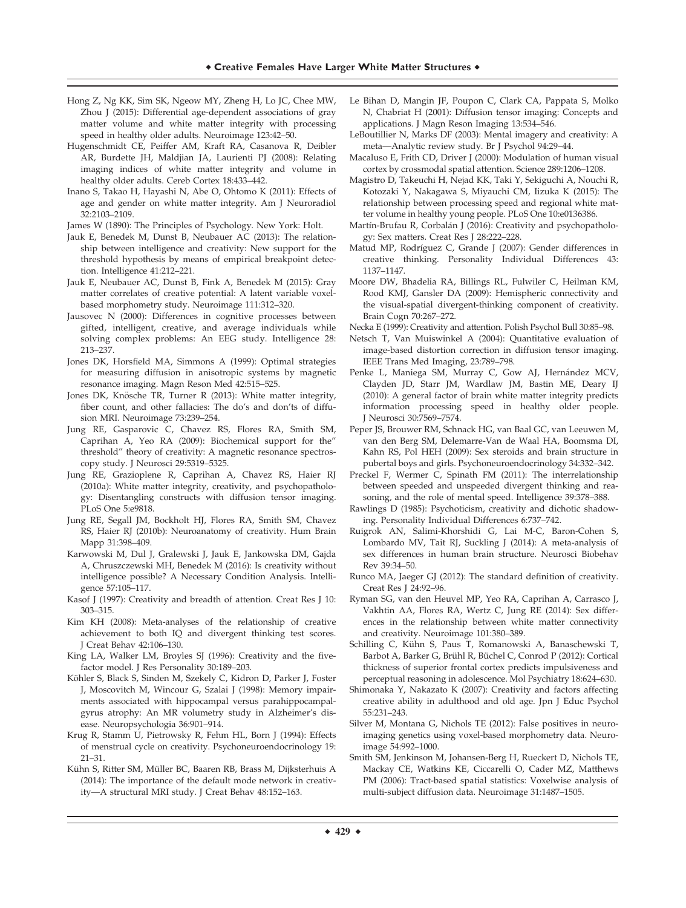- Hong Z, Ng KK, Sim SK, Ngeow MY, Zheng H, Lo JC, Chee MW, Zhou J (2015): Differential age-dependent associations of gray matter volume and white matter integrity with processing speed in healthy older adults. Neuroimage 123:42–50.
- Hugenschmidt CE, Peiffer AM, Kraft RA, Casanova R, Deibler AR, Burdette JH, Maldjian JA, Laurienti PJ (2008): Relating imaging indices of white matter integrity and volume in healthy older adults. Cereb Cortex 18:433–442.
- Inano S, Takao H, Hayashi N, Abe O, Ohtomo K (2011): Effects of age and gender on white matter integrity. Am J Neuroradiol 32:2103–2109.

James W (1890): The Principles of Psychology. New York: Holt.

- Jauk E, Benedek M, Dunst B, Neubauer AC (2013): The relationship between intelligence and creativity: New support for the threshold hypothesis by means of empirical breakpoint detection. Intelligence 41:212–221.
- Jauk E, Neubauer AC, Dunst B, Fink A, Benedek M (2015): Gray matter correlates of creative potential: A latent variable voxelbased morphometry study. Neuroimage 111:312–320.
- Jausovec N (2000): Differences in cognitive processes between gifted, intelligent, creative, and average individuals while solving complex problems: An EEG study. Intelligence 28: 213–237.
- Jones DK, Horsfield MA, Simmons A (1999): Optimal strategies for measuring diffusion in anisotropic systems by magnetic resonance imaging. Magn Reson Med 42:515–525.
- Jones DK, Knösche TR, Turner R (2013): White matter integrity, fiber count, and other fallacies: The do's and don'ts of diffusion MRI. Neuroimage 73:239–254.
- Jung RE, Gasparovic C, Chavez RS, Flores RA, Smith SM, Caprihan A, Yeo RA (2009): Biochemical support for the" threshold" theory of creativity: A magnetic resonance spectroscopy study. J Neurosci 29:5319–5325.
- Jung RE, Grazioplene R, Caprihan A, Chavez RS, Haier RJ (2010a): White matter integrity, creativity, and psychopathology: Disentangling constructs with diffusion tensor imaging. PLoS One 5:e9818.
- Jung RE, Segall JM, Bockholt HJ, Flores RA, Smith SM, Chavez RS, Haier RJ (2010b): Neuroanatomy of creativity. Hum Brain Mapp 31:398–409.
- Karwowski M, Dul J, Gralewski J, Jauk E, Jankowska DM, Gajda A, Chruszczewski MH, Benedek M (2016): Is creativity without intelligence possible? A Necessary Condition Analysis. Intelligence 57:105–117.
- Kasof J (1997): Creativity and breadth of attention. Creat Res J 10: 303–315.
- Kim KH (2008): Meta-analyses of the relationship of creative achievement to both IQ and divergent thinking test scores. J Creat Behav 42:106–130.
- King LA, Walker LM, Broyles SJ (1996): Creativity and the fivefactor model. J Res Personality 30:189–203.
- Köhler S, Black S, Sinden M, Szekely C, Kidron D, Parker J, Foster J, Moscovitch M, Wincour G, Szalai J (1998): Memory impairments associated with hippocampal versus parahippocampalgyrus atrophy: An MR volumetry study in Alzheimer's disease. Neuropsychologia 36:901–914.
- Krug R, Stamm U, Pietrowsky R, Fehm HL, Born J (1994): Effects of menstrual cycle on creativity. Psychoneuroendocrinology 19: 21–31.
- Kühn S, Ritter SM, Müller BC, Baaren RB, Brass M, Dijksterhuis A (2014): The importance of the default mode network in creativity—A structural MRI study. J Creat Behav 48:152–163.
- Le Bihan D, Mangin JF, Poupon C, Clark CA, Pappata S, Molko N, Chabriat H (2001): Diffusion tensor imaging: Concepts and applications. J Magn Reson Imaging 13:534–546.
- LeBoutillier N, Marks DF (2003): Mental imagery and creativity: A meta—Analytic review study. Br J Psychol 94:29–44.
- Macaluso E, Frith CD, Driver J (2000): Modulation of human visual cortex by crossmodal spatial attention. Science 289:1206–1208.
- Magistro D, Takeuchi H, Nejad KK, Taki Y, Sekiguchi A, Nouchi R, Kotozaki Y, Nakagawa S, Miyauchi CM, Iizuka K (2015): The relationship between processing speed and regional white matter volume in healthy young people. PLoS One 10:e0136386.
- Martín-Brufau R, Corbalán J (2016): Creativity and psychopathology: Sex matters. Creat Res J 28:222–228.
- Matud MP, Rodríguez C, Grande J (2007): Gender differences in creative thinking. Personality Individual Differences 43: 1137–1147.
- Moore DW, Bhadelia RA, Billings RL, Fulwiler C, Heilman KM, Rood KMJ, Gansler DA (2009): Hemispheric connectivity and the visual-spatial divergent-thinking component of creativity. Brain Cogn 70:267–272.
- Necka E (1999): Creativity and attention. Polish Psychol Bull 30:85–98.
- Netsch T, Van Muiswinkel A (2004): Quantitative evaluation of image-based distortion correction in diffusion tensor imaging. IEEE Trans Med Imaging, 23:789–798.
- Penke L, Maniega SM, Murray C, Gow AJ, Hernández MCV, Clayden JD, Starr JM, Wardlaw JM, Bastin ME, Deary IJ (2010): A general factor of brain white matter integrity predicts information processing speed in healthy older people. J Neurosci 30:7569–7574.
- Peper JS, Brouwer RM, Schnack HG, van Baal GC, van Leeuwen M, van den Berg SM, Delemarre-Van de Waal HA, Boomsma DI, Kahn RS, Pol HEH (2009): Sex steroids and brain structure in pubertal boys and girls. Psychoneuroendocrinology 34:332–342.
- Preckel F, Wermer C, Spinath FM (2011): The interrelationship between speeded and unspeeded divergent thinking and reasoning, and the role of mental speed. Intelligence 39:378–388.
- Rawlings D (1985): Psychoticism, creativity and dichotic shadowing. Personality Individual Differences 6:737–742.
- Ruigrok AN, Salimi-Khorshidi G, Lai M-C, Baron-Cohen S, Lombardo MV, Tait RJ, Suckling J (2014): A meta-analysis of sex differences in human brain structure. Neurosci Biobehav Rev 39:34–50.
- Runco MA, Jaeger GJ (2012): The standard definition of creativity. Creat Res J 24:92–96.
- Ryman SG, van den Heuvel MP, Yeo RA, Caprihan A, Carrasco J, Vakhtin AA, Flores RA, Wertz C, Jung RE (2014): Sex differences in the relationship between white matter connectivity and creativity. Neuroimage 101:380–389.
- Schilling C, Kühn S, Paus T, Romanowski A, Banaschewski T, Barbot A, Barker G, Brühl R, Büchel C, Conrod P (2012): Cortical thickness of superior frontal cortex predicts impulsiveness and perceptual reasoning in adolescence. Mol Psychiatry 18:624–630.
- Shimonaka Y, Nakazato K (2007): Creativity and factors affecting creative ability in adulthood and old age. Jpn J Educ Psychol 55:231–243.
- Silver M, Montana G, Nichols TE (2012): False positives in neuroimaging genetics using voxel-based morphometry data. Neuroimage 54:992–1000.
- Smith SM, Jenkinson M, Johansen-Berg H, Rueckert D, Nichols TE, Mackay CE, Watkins KE, Ciccarelli O, Cader MZ, Matthews PM (2006): Tract-based spatial statistics: Voxelwise analysis of multi-subject diffusion data. Neuroimage 31:1487–1505.